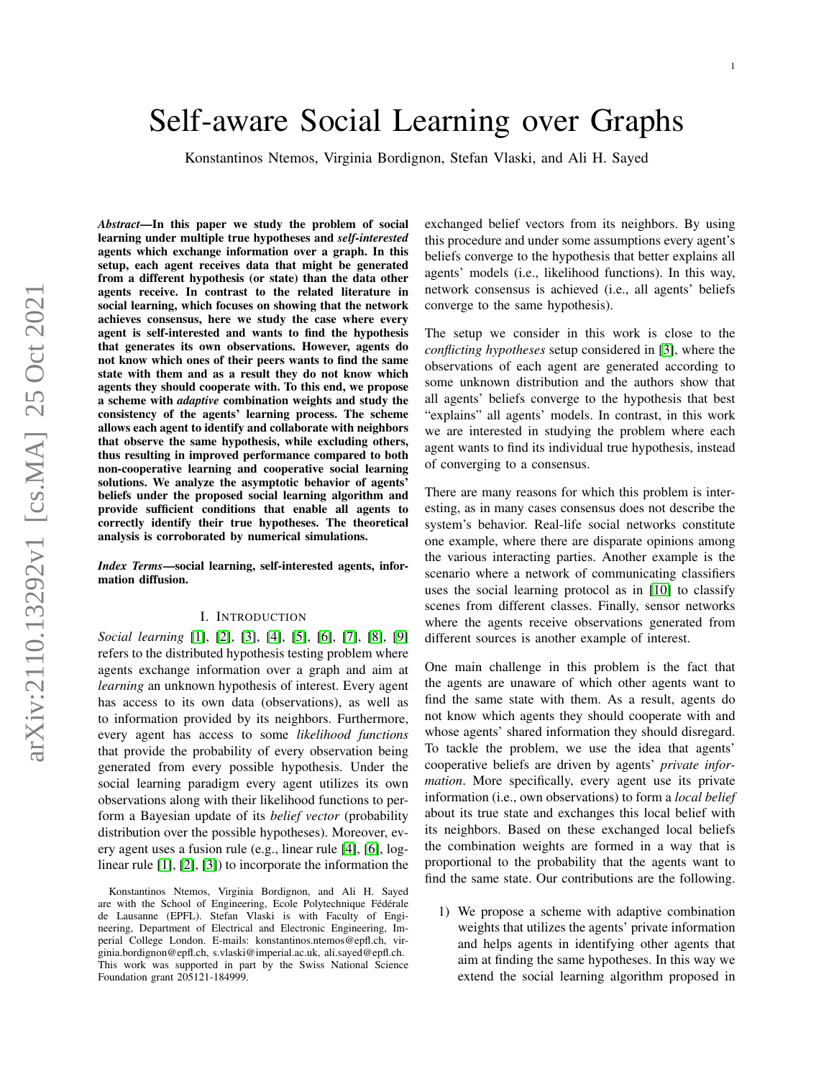# Self-aware Social Learning over Graphs

Konstantinos Ntemos, Virginia Bordignon, Stefan Vlaski, and Ali H. Sayed

*Abstract*—In this paper we study the problem of social learning under multiple true hypotheses and *self-interested* agents which exchange information over a graph. In this setup, each agent receives data that might be generated from a different hypothesis (or state) than the data other agents receive. In contrast to the related literature in social learning, which focuses on showing that the network achieves consensus, here we study the case where every agent is self-interested and wants to find the hypothesis that generates its own observations. However, agents do not know which ones of their peers wants to find the same state with them and as a result they do not know which agents they should cooperate with. To this end, we propose a scheme with *adaptive* combination weights and study the consistency of the agents' learning process. The scheme allows each agent to identify and collaborate with neighbors that observe the same hypothesis, while excluding others, thus resulting in improved performance compared to both non-cooperative learning and cooperative social learning solutions. We analyze the asymptotic behavior of agents' beliefs under the proposed social learning algorithm and provide sufficient conditions that enable all agents to correctly identify their true hypotheses. The theoretical analysis is corroborated by numerical simulations.

*Index Terms*—social learning, self-interested agents, information diffusion.

#### I. INTRODUCTION

*Social learning* [\[1\]](#page-15-0), [\[2\]](#page-15-1), [\[3\]](#page-15-2), [\[4\]](#page-15-3), [\[5\]](#page-15-4), [\[6\]](#page-15-5), [\[7\]](#page-15-6), [\[8\]](#page-15-7), [\[9\]](#page-15-8) refers to the distributed hypothesis testing problem where agents exchange information over a graph and aim at *learning* an unknown hypothesis of interest. Every agent has access to its own data (observations), as well as to information provided by its neighbors. Furthermore, every agent has access to some *likelihood functions* that provide the probability of every observation being generated from every possible hypothesis. Under the social learning paradigm every agent utilizes its own observations along with their likelihood functions to perform a Bayesian update of its *belief vector* (probability distribution over the possible hypotheses). Moreover, every agent uses a fusion rule (e.g., linear rule [\[4\]](#page-15-3), [\[6\]](#page-15-5), loglinear rule [\[1\]](#page-15-0), [\[2\]](#page-15-1), [\[3\]](#page-15-2)) to incorporate the information the exchanged belief vectors from its neighbors. By using this procedure and under some assumptions every agent's beliefs converge to the hypothesis that better explains all agents' models (i.e., likelihood functions). In this way, network consensus is achieved (i.e., all agents' beliefs converge to the same hypothesis).

The setup we consider in this work is close to the *conflicting hypotheses* setup considered in [\[3\]](#page-15-2), where the observations of each agent are generated according to some unknown distribution and the authors show that all agents' beliefs converge to the hypothesis that best "explains" all agents' models. In contrast, in this work we are interested in studying the problem where each agent wants to find its individual true hypothesis, instead of converging to a consensus.

There are many reasons for which this problem is interesting, as in many cases consensus does not describe the system's behavior. Real-life social networks constitute one example, where there are disparate opinions among the various interacting parties. Another example is the scenario where a network of communicating classifiers uses the social learning protocol as in [\[10\]](#page-15-9) to classify scenes from different classes. Finally, sensor networks where the agents receive observations generated from different sources is another example of interest.

One main challenge in this problem is the fact that the agents are unaware of which other agents want to find the same state with them. As a result, agents do not know which agents they should cooperate with and whose agents' shared information they should disregard. To tackle the problem, we use the idea that agents' cooperative beliefs are driven by agents' *private information*. More specifically, every agent use its private information (i.e., own observations) to form a *local belief* about its true state and exchanges this local belief with its neighbors. Based on these exchanged local beliefs the combination weights are formed in a way that is proportional to the probability that the agents want to find the same state. Our contributions are the following.

1) We propose a scheme with adaptive combination weights that utilizes the agents' private information and helps agents in identifying other agents that aim at finding the same hypotheses. In this way we extend the social learning algorithm proposed in

Konstantinos Ntemos, Virginia Bordignon, and Ali H. Sayed are with the School of Engineering, Ecole Polytechnique Fédérale de Lausanne (EPFL). Stefan Vlaski is with Faculty of Engineering, Department of Electrical and Electronic Engineering, Imperial College London. E-mails: konstantinos.ntemos@epfl.ch, virginia.bordignon@epfl.ch, s.vlaski@imperial.ac.uk, ali.sayed@epfl.ch. This work was supported in part by the Swiss National Science Foundation grant 205121-184999.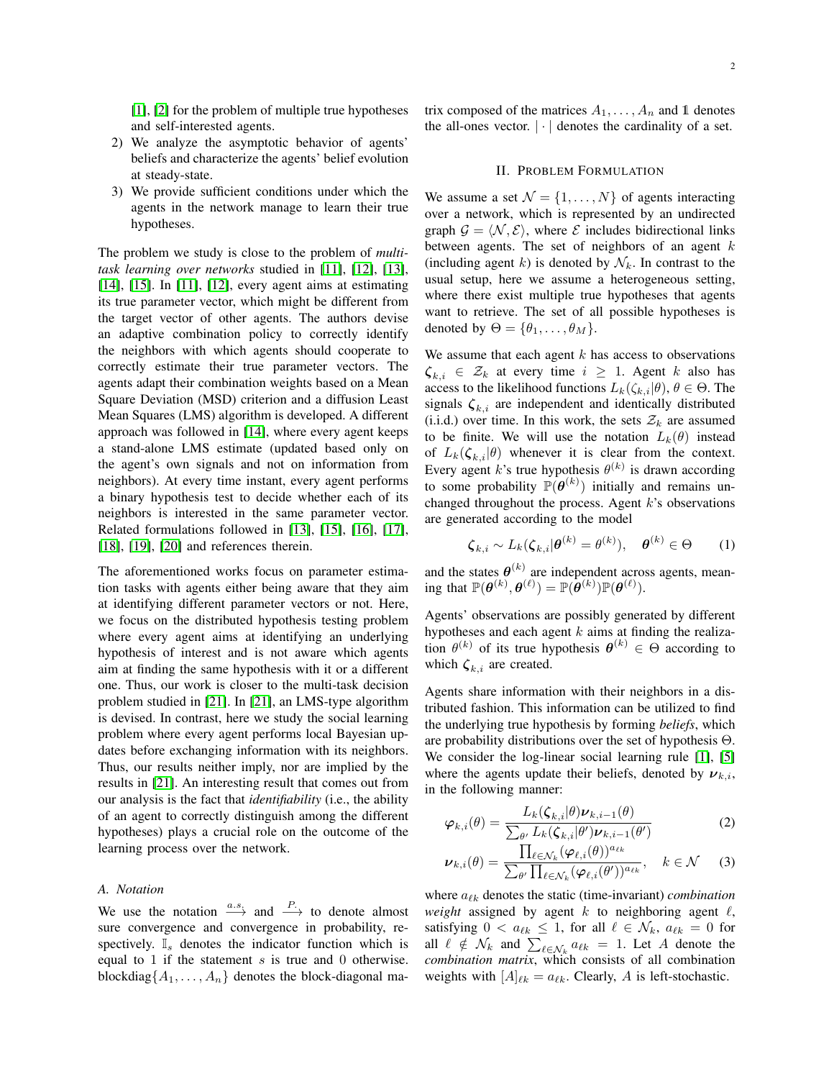[\[1\]](#page-15-0), [\[2\]](#page-15-1) for the problem of multiple true hypotheses and self-interested agents.

- 2) We analyze the asymptotic behavior of agents' beliefs and characterize the agents' belief evolution at steady-state.
- 3) We provide sufficient conditions under which the agents in the network manage to learn their true hypotheses.

The problem we study is close to the problem of *multitask learning over networks* studied in [\[11\]](#page-15-10), [\[12\]](#page-15-11), [\[13\]](#page-15-12), [\[14\]](#page-15-13), [\[15\]](#page-15-14). In [\[11\]](#page-15-10), [\[12\]](#page-15-11), every agent aims at estimating its true parameter vector, which might be different from the target vector of other agents. The authors devise an adaptive combination policy to correctly identify the neighbors with which agents should cooperate to correctly estimate their true parameter vectors. The agents adapt their combination weights based on a Mean Square Deviation (MSD) criterion and a diffusion Least Mean Squares (LMS) algorithm is developed. A different approach was followed in [\[14\]](#page-15-13), where every agent keeps a stand-alone LMS estimate (updated based only on the agent's own signals and not on information from neighbors). At every time instant, every agent performs a binary hypothesis test to decide whether each of its neighbors is interested in the same parameter vector. Related formulations followed in [\[13\]](#page-15-12), [\[15\]](#page-15-14), [\[16\]](#page-16-0), [\[17\]](#page-16-1), [\[18\]](#page-16-2), [\[19\]](#page-16-3), [\[20\]](#page-16-4) and references therein.

The aforementioned works focus on parameter estimation tasks with agents either being aware that they aim at identifying different parameter vectors or not. Here, we focus on the distributed hypothesis testing problem where every agent aims at identifying an underlying hypothesis of interest and is not aware which agents aim at finding the same hypothesis with it or a different one. Thus, our work is closer to the multi-task decision problem studied in [\[21\]](#page-16-5). In [\[21\]](#page-16-5), an LMS-type algorithm is devised. In contrast, here we study the social learning problem where every agent performs local Bayesian updates before exchanging information with its neighbors. Thus, our results neither imply, nor are implied by the results in [\[21\]](#page-16-5). An interesting result that comes out from our analysis is the fact that *identifiability* (i.e., the ability of an agent to correctly distinguish among the different hypotheses) plays a crucial role on the outcome of the learning process over the network.

# *A. Notation*

We use the notation  $x \to a$  and  $x \to b$  to denote almost sure convergence and convergence in probability, respectively.  $\mathbb{I}_s$  denotes the indicator function which is equal to 1 if the statement  $s$  is true and 0 otherwise. blockdiag $\{A_1, \ldots, A_n\}$  denotes the block-diagonal matrix composed of the matrices  $A_1, \ldots, A_n$  and 1 denotes the all-ones vector.  $|\cdot|$  denotes the cardinality of a set.

#### II. PROBLEM FORMULATION

We assume a set  $\mathcal{N} = \{1, \ldots, N\}$  of agents interacting over a network, which is represented by an undirected graph  $\mathcal{G} = \langle \mathcal{N}, \mathcal{E} \rangle$ , where  $\mathcal E$  includes bidirectional links between agents. The set of neighbors of an agent  $k$ (including agent k) is denoted by  $\mathcal{N}_k$ . In contrast to the usual setup, here we assume a heterogeneous setting, where there exist multiple true hypotheses that agents want to retrieve. The set of all possible hypotheses is denoted by  $\Theta = {\theta_1, \ldots, \theta_M}.$ 

We assume that each agent  $k$  has access to observations  $\zeta_{k,i} \in \mathcal{Z}_k$  at every time  $i \geq 1$ . Agent k also has access to the likelihood functions  $L_k(\zeta_{k,i}|\theta), \theta \in \Theta$ . The signals  $\zeta_{k,i}$  are independent and identically distributed (i.i.d.) over time. In this work, the sets  $\mathcal{Z}_k$  are assumed to be finite. We will use the notation  $L_k(\theta)$  instead of  $L_k(\zeta_{k,i}|\theta)$  whenever it is clear from the context. Every agent k's true hypothesis  $\theta^{(k)}$  is drawn according to some probability  $\mathbb{P}(\boldsymbol{\theta}^{(k)})$  initially and remains unchanged throughout the process. Agent  $k$ 's observations are generated according to the model

$$
\boldsymbol{\zeta}_{k,i} \sim L_k(\boldsymbol{\zeta}_{k,i}|\boldsymbol{\theta}^{(k)} = \boldsymbol{\theta}^{(k)}), \quad \boldsymbol{\theta}^{(k)} \in \Theta \qquad (1)
$$

and the states  $\boldsymbol{\theta}^{(k)}$  are independent across agents, meaning that  $\mathbb{P}(\boldsymbol{\theta}^{(k)}, \boldsymbol{\theta}^{(\ell)}) = \mathbb{P}(\bar{\boldsymbol{\theta}}^{(k)}) \mathbb{P}(\boldsymbol{\theta}^{(\ell)}).$ 

Agents' observations are possibly generated by different hypotheses and each agent  $k$  aims at finding the realization  $\theta^{(k)}$  of its true hypothesis  $\theta^{(k)} \in \Theta$  according to which  $\zeta_{k,i}$  are created.

Agents share information with their neighbors in a distributed fashion. This information can be utilized to find the underlying true hypothesis by forming *beliefs*, which are probability distributions over the set of hypothesis Θ. We consider the log-linear social learning rule [\[1\]](#page-15-0), [\[5\]](#page-15-4) where the agents update their beliefs, denoted by  $v_{k,i}$ , in the following manner:

<span id="page-1-1"></span><span id="page-1-0"></span>
$$
\varphi_{k,i}(\theta) = \frac{L_k(\zeta_{k,i}|\theta)\nu_{k,i-1}(\theta)}{\sum_{\theta'} L_k(\zeta_{k,i}|\theta')\nu_{k,i-1}(\theta')}
$$
 (2)

$$
\nu_{k,i}(\theta) = \frac{\prod_{\ell \in \mathcal{N}_k} (\varphi_{\ell,i}(\theta))^{a_{\ell k}}}{\sum_{\theta'} \prod_{\ell \in \mathcal{N}_k} (\varphi_{\ell,i}(\theta'))^{a_{\ell k}}}, \quad k \in \mathcal{N} \quad (3)
$$

where  $a_{\ell k}$  denotes the static (time-invariant) *combination weight* assigned by agent  $k$  to neighboring agent  $\ell$ , satisfying  $0 < a_{\ell k} \leq 1$ , for all  $\ell \in \mathcal{N}_k$ ,  $a_{\ell k} = 0$  for all  $\ell \notin \mathcal{N}_k$  and  $\sum_{\ell \in \mathcal{N}_k} a_{\ell k} = 1$ . Let A denote the *combination matrix*, which consists of all combination weights with  $[A]_{\ell k} = a_{\ell k}$ . Clearly, A is left-stochastic.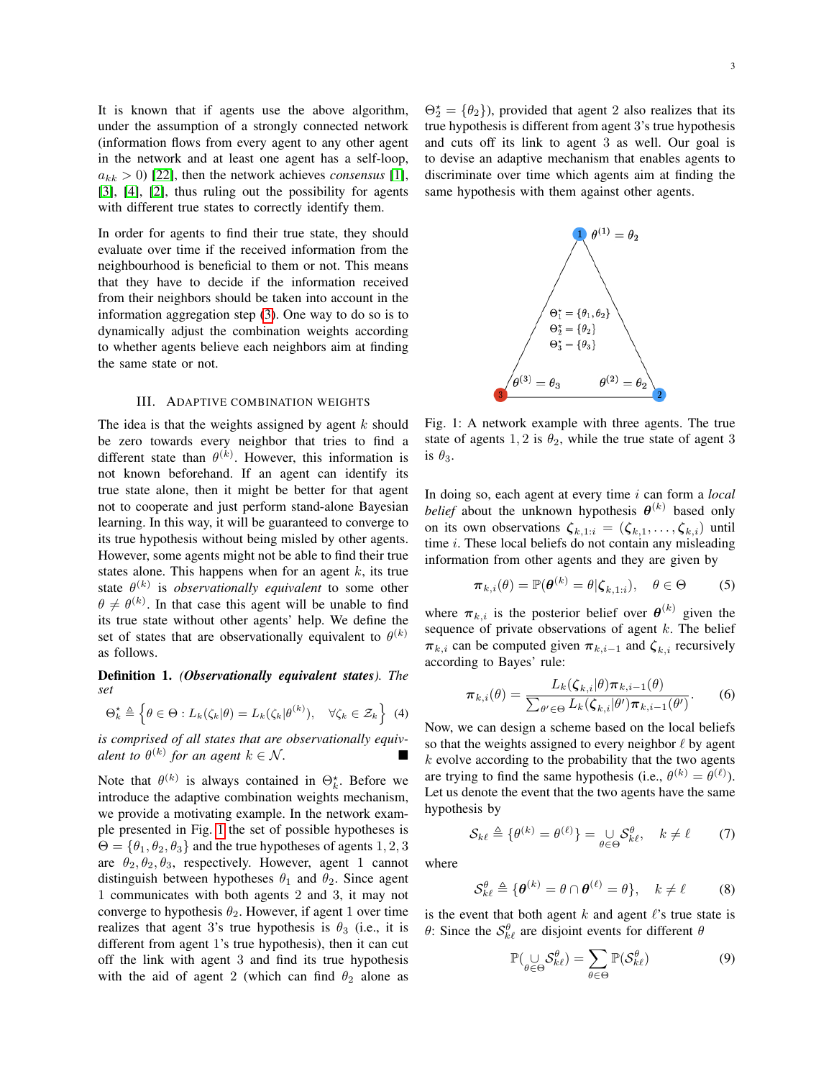It is known that if agents use the above algorithm, under the assumption of a strongly connected network (information flows from every agent to any other agent in the network and at least one agent has a self-loop,  $a_{kk} > 0$  [\[22\]](#page-16-6), then the network achieves *consensus* [\[1\]](#page-15-0), [\[3\]](#page-15-2), [\[4\]](#page-15-3), [\[2\]](#page-15-1), thus ruling out the possibility for agents with different true states to correctly identify them.

In order for agents to find their true state, they should evaluate over time if the received information from the neighbourhood is beneficial to them or not. This means that they have to decide if the information received from their neighbors should be taken into account in the information aggregation step [\(3\)](#page-1-0). One way to do so is to dynamically adjust the combination weights according to whether agents believe each neighbors aim at finding the same state or not.

#### III. ADAPTIVE COMBINATION WEIGHTS

The idea is that the weights assigned by agent  $k$  should be zero towards every neighbor that tries to find a different state than  $\theta^{(k)}$ . However, this information is not known beforehand. If an agent can identify its true state alone, then it might be better for that agent not to cooperate and just perform stand-alone Bayesian learning. In this way, it will be guaranteed to converge to its true hypothesis without being misled by other agents. However, some agents might not be able to find their true states alone. This happens when for an agent  $k$ , its true state  $\theta^{(k)}$  is *observationally equivalent* to some other  $\theta \neq \theta^{(k)}$ . In that case this agent will be unable to find its true state without other agents' help. We define the set of states that are observationally equivalent to  $\theta^{(k)}$ as follows.

Definition 1. *(Observationally equivalent states). The set*

$$
\Theta_k^{\star} \triangleq \left\{ \theta \in \Theta : L_k(\zeta_k | \theta) = L_k(\zeta_k | \theta^{(k)}), \quad \forall \zeta_k \in \mathcal{Z}_k \right\}
$$
(4)

*is comprised of all states that are observationally equivalent to*  $\theta^{(k)}$  *for an agent*  $k \in \mathcal{N}$ *.* 

Note that  $\theta^{(k)}$  is always contained in  $\Theta_k^*$ . Before we introduce the adaptive combination weights mechanism, we provide a motivating example. In the network example presented in Fig. [1](#page-2-0) the set of possible hypotheses is  $\Theta = {\theta_1, \theta_2, \theta_3}$  and the true hypotheses of agents 1, 2, 3 are  $\theta_2, \theta_2, \theta_3$ , respectively. However, agent 1 cannot distinguish between hypotheses  $\theta_1$  and  $\theta_2$ . Since agent 1 communicates with both agents 2 and 3, it may not converge to hypothesis  $\theta_2$ . However, if agent 1 over time realizes that agent 3's true hypothesis is  $\theta_3$  (i.e., it is different from agent 1's true hypothesis), then it can cut off the link with agent 3 and find its true hypothesis with the aid of agent 2 (which can find  $\theta_2$  alone as

 $\Theta_2^{\star} = {\theta_2}$ , provided that agent 2 also realizes that its true hypothesis is different from agent 3's true hypothesis and cuts off its link to agent 3 as well. Our goal is to devise an adaptive mechanism that enables agents to discriminate over time which agents aim at finding the same hypothesis with them against other agents.

<span id="page-2-0"></span>

Fig. 1: A network example with three agents. The true state of agents 1, 2 is  $\theta_2$ , while the true state of agent 3 is  $\theta_3$ .

In doing so, each agent at every time i can form a *local belief* about the unknown hypothesis  $\boldsymbol{\theta}^{(k)}$  based only on its own observations  $\zeta_{k,1:i} = (\zeta_{k,1}, \ldots, \zeta_{k,i})$  until time  $i$ . These local beliefs do not contain any misleading information from other agents and they are given by

$$
\boldsymbol{\pi}_{k,i}(\theta) = \mathbb{P}(\boldsymbol{\theta}^{(k)} = \theta | \boldsymbol{\zeta}_{k,1:i}), \quad \theta \in \Theta \tag{5}
$$

where  $\pi_{k,i}$  is the posterior belief over  $\boldsymbol{\theta}^{(k)}$  given the sequence of private observations of agent  $k$ . The belief  $\pi_{k,i}$  can be computed given  $\pi_{k,i-1}$  and  $\zeta_{k,i}$  recursively according to Bayes' rule:

<span id="page-2-1"></span>
$$
\boldsymbol{\pi}_{k,i}(\theta) = \frac{L_k(\boldsymbol{\zeta}_{k,i}|\theta)\boldsymbol{\pi}_{k,i-1}(\theta)}{\sum_{\theta' \in \Theta} L_k(\boldsymbol{\zeta}_{k,i}|\theta')\boldsymbol{\pi}_{k,i-1}(\theta')}.
$$
 (6)

Now, we can design a scheme based on the local beliefs so that the weights assigned to every neighbor  $\ell$  by agent  $k$  evolve according to the probability that the two agents are trying to find the same hypothesis (i.e.,  $\theta^{(k)} = \theta^{(\ell)}$ ). Let us denote the event that the two agents have the same hypothesis by

$$
S_{k\ell} \triangleq \{ \theta^{(k)} = \theta^{(\ell)} \} = \bigcup_{\theta \in \Theta} S_{k\ell}^{\theta}, \quad k \neq \ell \tag{7}
$$

where

$$
\mathcal{S}_{k\ell}^{\theta} \triangleq \{ \boldsymbol{\theta}^{(k)} = \theta \cap \boldsymbol{\theta}^{(\ell)} = \theta \}, \quad k \neq \ell \tag{8}
$$

is the event that both agent  $k$  and agent  $\ell$ 's true state is  $\theta$ : Since the  $S_{k\ell}^{\theta}$  are disjoint events for different  $\theta$ 

<span id="page-2-2"></span>
$$
\mathbb{P}(\bigcup_{\theta \in \Theta} \mathcal{S}_{k\ell}^{\theta}) = \sum_{\theta \in \Theta} \mathbb{P}(\mathcal{S}_{k\ell}^{\theta})
$$
(9)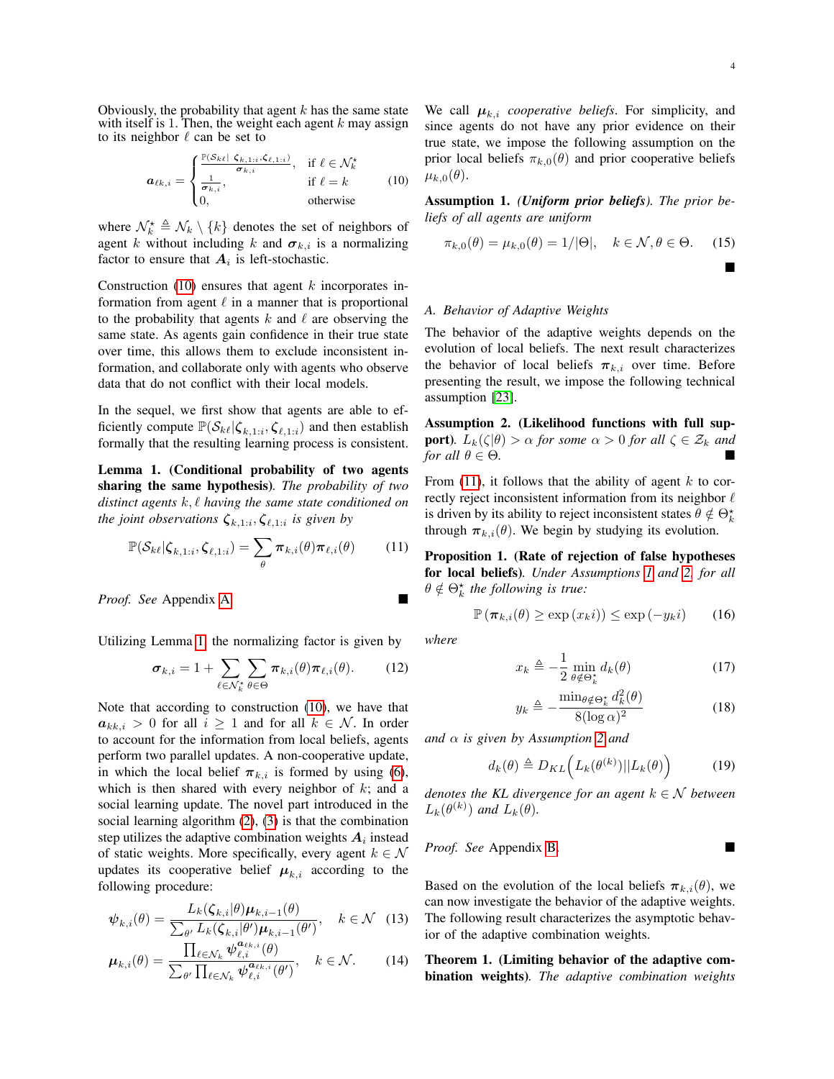Obviously, the probability that agent  $k$  has the same state with itself is 1. Then, the weight each agent  $k$  may assign to its neighbor  $\ell$  can be set to

$$
\boldsymbol{a}_{\ell k,i} = \begin{cases} \frac{\mathbb{P}(S_{k\ell} | \boldsymbol{\zeta}_{k,1:i}, \boldsymbol{\zeta}_{\ell,1:i})}{\sigma_{k,i}}, & \text{if } \ell \in \mathcal{N}_k^{\star} \\ \frac{1}{\sigma_{k,i}}, & \text{if } \ell = k \\ 0, & \text{otherwise} \end{cases}
$$
 (10)

where  $\mathcal{N}_k^{\star} \triangleq \mathcal{N}_k \setminus \{k\}$  denotes the set of neighbors of agent k without including k and  $\sigma_{k,i}$  is a normalizing factor to ensure that  $A_i$  is left-stochastic.

Construction [\(10\)](#page-3-0) ensures that agent  $k$  incorporates information from agent  $\ell$  in a manner that is proportional to the probability that agents k and  $\ell$  are observing the same state. As agents gain confidence in their true state over time, this allows them to exclude inconsistent information, and collaborate only with agents who observe data that do not conflict with their local models.

In the sequel, we first show that agents are able to efficiently compute  $\mathbb{P}(\mathcal{S}_{k\ell}|\zeta_{k,1:i},\zeta_{\ell,1:i})$  and then establish formally that the resulting learning process is consistent.

<span id="page-3-1"></span>Lemma 1. (Conditional probability of two agents sharing the same hypothesis)*. The probability of two distinct agents*  $k, l$  *having the same state conditioned on the joint observations*  $\zeta_{k,1:i}, \zeta_{\ell,1:i}$  *is given by* 

$$
\mathbb{P}(\mathcal{S}_{k\ell}|\zeta_{k,1:i},\zeta_{\ell,1:i})=\sum_{\theta}\pi_{k,i}(\theta)\pi_{\ell,i}(\theta) \qquad (11)
$$

*Proof. See* Appendix [A.](#page-8-0)

Utilizing Lemma [1,](#page-3-1) the normalizing factor is given by

$$
\boldsymbol{\sigma}_{k,i} = 1 + \sum_{\ell \in \mathcal{N}_k^{\star}} \sum_{\theta \in \Theta} \boldsymbol{\pi}_{k,i}(\theta) \boldsymbol{\pi}_{\ell,i}(\theta). \qquad (12)
$$

Note that according to construction [\(10\)](#page-3-0), we have that  $a_{kk,i} > 0$  for all  $i \ge 1$  and for all  $k \in \mathcal{N}$ . In order to account for the information from local beliefs, agents perform two parallel updates. A non-cooperative update, in which the local belief  $\pi_{k,i}$  is formed by using [\(6\)](#page-2-1), which is then shared with every neighbor of  $k$ ; and a social learning update. The novel part introduced in the social learning algorithm [\(2\)](#page-1-1), [\(3\)](#page-1-0) is that the combination step utilizes the adaptive combination weights  $A_i$  instead of static weights. More specifically, every agent  $k \in \mathcal{N}$ updates its cooperative belief  $\mu_{k,i}$  according to the following procedure:

$$
\boldsymbol{\psi}_{k,i}(\theta) = \frac{L_k(\boldsymbol{\zeta}_{k,i}|\theta)\boldsymbol{\mu}_{k,i-1}(\theta)}{\sum_{\theta'} L_k(\boldsymbol{\zeta}_{k,i}|\theta')\boldsymbol{\mu}_{k,i-1}(\theta')}, \quad k \in \mathcal{N} \quad (13)
$$

$$
\boldsymbol{\mu}_{k,i}(\theta) = \frac{\prod_{\ell \in \mathcal{N}_k} \boldsymbol{\psi}_{\ell,i}^{a_{\ell k,i}}(\theta)}{\sum_{\theta'} \prod_{\ell \in \mathcal{N}_k} \boldsymbol{\psi}_{\ell,i}^{a_{\ell k,i}}(\theta')}, \quad k \in \mathcal{N}.
$$
 (14)

We call  $\mu_{k,i}$  *cooperative beliefs*. For simplicity, and since agents do not have any prior evidence on their true state, we impose the following assumption on the prior local beliefs  $\pi_{k,0}(\theta)$  and prior cooperative beliefs  $\mu_{k,0}(\theta)$ .

<span id="page-3-3"></span><span id="page-3-0"></span>Assumption 1. *(Uniform prior beliefs). The prior beliefs of all agents are uniform*

$$
\pi_{k,0}(\theta) = \mu_{k,0}(\theta) = 1/|\Theta|, \quad k \in \mathcal{N}, \theta \in \Theta. \tag{15}
$$

 $\blacksquare$ 

## *A. Behavior of Adaptive Weights*

The behavior of the adaptive weights depends on the evolution of local beliefs. The next result characterizes the behavior of local beliefs  $\pi_{k,i}$  over time. Before presenting the result, we impose the following technical assumption [\[23\]](#page-16-7).

<span id="page-3-4"></span>Assumption 2. (Likelihood functions with full sup**port**)*.*  $L_k(\zeta|\theta) > \alpha$  *for some*  $\alpha > 0$  *for all*  $\zeta \in \mathcal{Z}_k$  *and for all*  $\theta \in \Theta$ *.* 

From [\(11\)](#page-3-2), it follows that the ability of agent  $k$  to correctly reject inconsistent information from its neighbor  $\ell$ is driven by its ability to reject inconsistent states  $\theta \notin \Theta_k^*$ through  $\pi_{k,i}(\theta)$ . We begin by studying its evolution.

<span id="page-3-8"></span><span id="page-3-2"></span>Proposition 1. (Rate of rejection of false hypotheses for local beliefs)*. Under Assumptions [1](#page-3-3) and [2,](#page-3-4) for all*  $\theta \notin \Theta_k^{\star}$  the following is true:

$$
\mathbb{P}\left(\boldsymbol{\pi}_{k,i}(\theta) \ge \exp\left(x_k i\right)\right) \le \exp\left(-y_k i\right) \qquad (16)
$$

<span id="page-3-9"></span>*where*

$$
x_k \triangleq -\frac{1}{2} \min_{\theta \notin \Theta_k^*} d_k(\theta) \tag{17}
$$

$$
y_k \triangleq -\frac{\min_{\theta \notin \Theta_k^*} d_k^2(\theta)}{8(\log \alpha)^2} \tag{18}
$$

*and* α *is given by Assumption [2](#page-3-4) and*

$$
d_k(\theta) \triangleq D_{KL}\Big(L_k(\theta^{(k)})||L_k(\theta)\Big) \tag{19}
$$

*denotes the KL divergence for an agent*  $k \in \mathcal{N}$  *between*  $L_k(\theta^{(k)})$  and  $L_k(\theta)$ .

*Proof. See* Appendix [B.](#page-8-1)

<span id="page-3-6"></span>Based on the evolution of the local beliefs  $\pi_{k,i}(\theta)$ , we can now investigate the behavior of the adaptive weights. The following result characterizes the asymptotic behavior of the adaptive combination weights.

<span id="page-3-7"></span><span id="page-3-5"></span>Theorem 1. (Limiting behavior of the adaptive combination weights)*. The adaptive combination weights*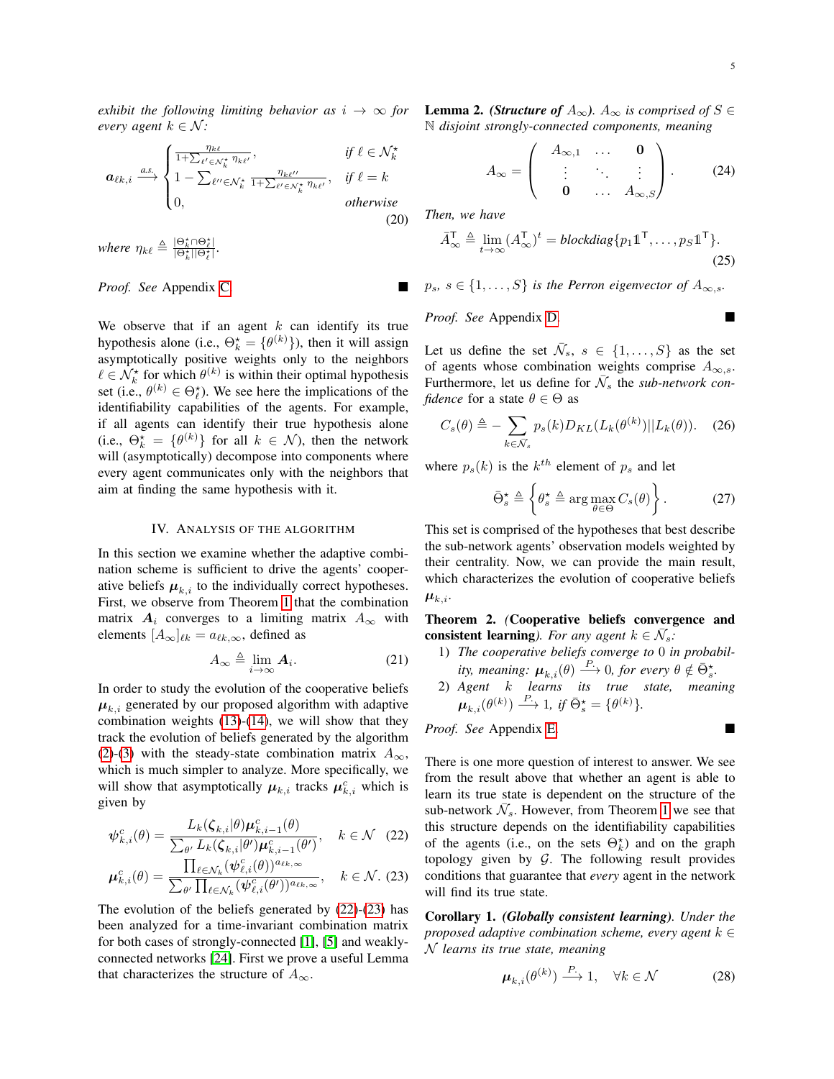*exhibit the following limiting behavior as*  $i \rightarrow \infty$  *for every agent*  $k \in \mathcal{N}$ *:* 

$$
\boldsymbol{a}_{\ell k,i} \xrightarrow{a.s.} \begin{cases} \frac{\eta_{k\ell}}{1+\sum_{\ell'\in\mathcal{N}_k^{\star}}\eta_{k\ell'}}, & \text{if } \ell \in \mathcal{N}_k^{\star} \\ 1 - \sum_{\ell''\in\mathcal{N}_k^{\star}}\frac{\eta_{k\ell''}}{1+\sum_{\ell'\in\mathcal{N}_k^{\star}}\eta_{k\ell'}}, & \text{if } \ell = k \\ 0, & \text{otherwise} \end{cases} \tag{20}
$$

*where*  $\eta_{k\ell} \triangleq \frac{|\Theta_k^* \cap \Theta_\ell^*|}{|\Theta_k^*| |\Theta_\ell^*|}.$ 

*Proof. See* Appendix [C.](#page-9-0)

We observe that if an agent  $k$  can identify its true hypothesis alone (i.e.,  $\Theta_k^* = {\theta^{(k)}}$ ), then it will assign asymptotically positive weights only to the neighbors  $\ell \in \mathcal{N}_k^{\star}$  for which  $\theta^{(k)}$  is within their optimal hypothesis set (i.e.,  $\theta^{(k)} \in \Theta_{\ell}^*$ ). We see here the implications of the identifiability capabilities of the agents. For example, if all agents can identify their true hypothesis alone (i.e.,  $\Theta_k^* = \{ \theta^{(k)} \}$  for all  $k \in \mathcal{N}$ ), then the network will (asymptotically) decompose into components where every agent communicates only with the neighbors that aim at finding the same hypothesis with it.

#### IV. ANALYSIS OF THE ALGORITHM

In this section we examine whether the adaptive combination scheme is sufficient to drive the agents' cooperative beliefs  $\mu_{k,i}$  to the individually correct hypotheses. First, we observe from Theorem [1](#page-3-5) that the combination matrix  $A_i$  converges to a limiting matrix  $A_{\infty}$  with elements  $[A_\infty]_{\ell k} = a_{\ell k,\infty}$ , defined as

$$
A_{\infty} \triangleq \lim_{i \to \infty} \mathbf{A}_i. \tag{21}
$$

In order to study the evolution of the cooperative beliefs  $\mu_{k,i}$  generated by our proposed algorithm with adaptive combination weights  $(13)-(14)$  $(13)-(14)$  $(13)-(14)$ , we will show that they track the evolution of beliefs generated by the algorithm [\(2\)](#page-1-1)-[\(3\)](#page-1-0) with the steady-state combination matrix  $A_{\infty}$ , which is much simpler to analyze. More specifically, we will show that asymptotically  $\mu_{k,i}$  tracks  $\mu_{k,i}^c$  which is given by

$$
\psi_{k,i}^c(\theta) = \frac{L_k(\zeta_{k,i}|\theta)\mu_{k,i-1}^c(\theta)}{\sum_{\theta'} L_k(\zeta_{k,i}|\theta')\mu_{k,i-1}^c(\theta')}, \quad k \in \mathcal{N} \quad (22)
$$

$$
\mu_{k,i}^c(\theta) = \frac{\prod_{\ell \in \mathcal{N}_k} (\psi_{\ell,i}^c(\theta))^{a_{\ell k,\infty}}}{\sum_{\theta'} \prod_{\ell \in \mathcal{N}_k} (\psi_{\ell,i}^c(\theta'))^{a_{\ell k,\infty}}}, \quad k \in \mathcal{N}. \tag{23}
$$

The evolution of the beliefs generated by [\(22\)](#page-4-0)-[\(23\)](#page-4-1) has been analyzed for a time-invariant combination matrix for both cases of strongly-connected [\[1\]](#page-15-0), [\[5\]](#page-15-4) and weaklyconnected networks [\[24\]](#page-16-8). First we prove a useful Lemma that characterizes the structure of  $A_{\infty}$ .

<span id="page-4-5"></span>**Lemma 2.** *(Structure of*  $A_{\infty}$ *).*  $A_{\infty}$  *is comprised of*  $S \in$ N *disjoint strongly-connected components, meaning*

<span id="page-4-7"></span>
$$
A_{\infty} = \begin{pmatrix} A_{\infty,1} & \dots & \mathbf{0} \\ \vdots & \ddots & \vdots \\ \mathbf{0} & \dots & A_{\infty,S} \end{pmatrix} .
$$
 (24)

<span id="page-4-6"></span>*Then, we have*

$$
\bar{A}_{\infty}^{\mathsf{T}} \triangleq \lim_{t \to \infty} (A_{\infty}^{\mathsf{T}})^t = \text{blockdiag}\{p_1 \mathbb{1}^{\mathsf{T}}, \dots, p_S \mathbb{1}^{\mathsf{T}}\}.
$$
\n(25)

 $p_s$ ,  $s \in \{1, \ldots, S\}$  *is the Perron eigenvector of*  $A_{\infty, s}$ *.* 

*Proof. See* Appendix [D.](#page-9-1)

Let us define the set  $\bar{\mathcal{N}}_s$ ,  $s \in \{1, \ldots, S\}$  as the set of agents whose combination weights comprise  $A_{\infty,s}$ . Furthermore, let us define for  $\bar{N}_s$  the *sub-network confidence* for a state  $\theta \in \Theta$  as

$$
C_s(\theta) \triangleq -\sum_{k \in \bar{\mathcal{N}}_s} p_s(k) D_{KL}(L_k(\theta^{(k)}) || L_k(\theta)). \quad (26)
$$

where  $p_s(k)$  is the  $k^{th}$  element of  $p_s$  and let

<span id="page-4-8"></span><span id="page-4-2"></span>
$$
\bar{\Theta}_s^{\star} \triangleq \left\{ \theta_s^{\star} \triangleq \arg \max_{\theta \in \Theta} C_s(\theta) \right\}.
$$
 (27)

This set is comprised of the hypotheses that best describe the sub-network agents' observation models weighted by their centrality. Now, we can provide the main result, which characterizes the evolution of cooperative beliefs  $\boldsymbol{\mu}_{k,i}$ .

<span id="page-4-3"></span>Theorem 2. *(*Cooperative beliefs convergence and consistent learning). For any agent  $k \in \overline{\mathcal{N}}_s$ :

- 1) *The cooperative beliefs converge to* 0 *in probability, meaning:*  $\mu_{k,i}(\theta) \stackrel{P}{\longrightarrow} 0$ , for every  $\theta \notin \bar{\Theta}_{s}^{\star}$ .
- 2) *Agent* k *learns its true state, meaning*  $\boldsymbol{\mu}_{k,i}(\theta^{(k)}) \stackrel{P.}{\longrightarrow} 1, \text{ if } \bar{\Theta}^{\star}_{s} = \{\theta^{(k)}\}.$

*Proof. See* Appendix [E.](#page-10-0)

<span id="page-4-0"></span>There is one more question of interest to answer. We see from the result above that whether an agent is able to learn its true state is dependent on the structure of the sub-network  $\bar{\mathcal{N}}_s$ . However, from Theorem [1](#page-3-5) we see that this structure depends on the identifiability capabilities of the agents (i.e., on the sets  $\Theta_k^*$ ) and on the graph topology given by  $G$ . The following result provides conditions that guarantee that *every* agent in the network will find its true state.

<span id="page-4-4"></span><span id="page-4-1"></span>Corollary 1. *(Globally consistent learning). Under the proposed adaptive combination scheme, every agent* k ∈ N *learns its true state, meaning*

$$
\boldsymbol{\mu}_{k,i}(\theta^{(k)}) \stackrel{P}{\longrightarrow} 1, \quad \forall k \in \mathcal{N} \tag{28}
$$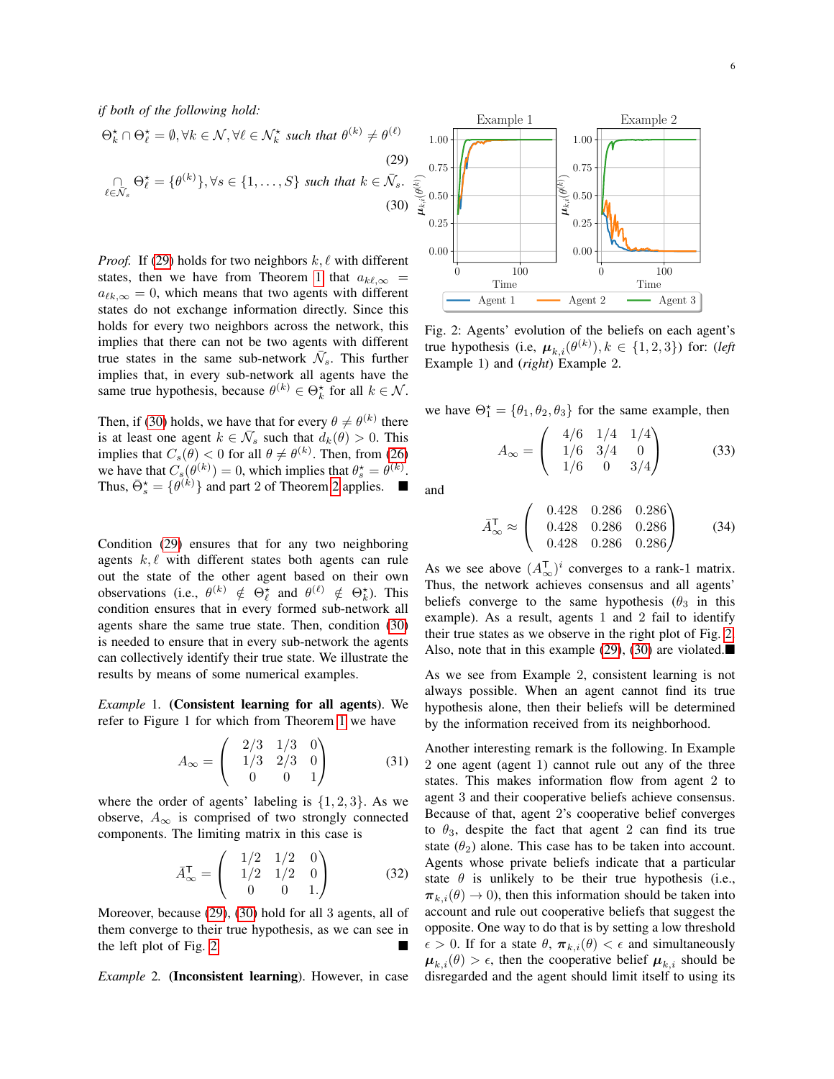*if both of the following hold:*

$$
\Theta_k^{\star} \cap \Theta_{\ell}^{\star} = \emptyset, \forall k \in \mathcal{N}, \forall \ell \in \mathcal{N}_k^{\star} \text{ such that } \theta^{(k)} \neq \theta^{(\ell)} \tag{29}
$$
\n
$$
\bigcap_{\ell \in \mathcal{N}_s} \Theta_{\ell}^{\star} = \{\theta^{(k)}\}, \forall s \in \{1, \dots, S\} \text{ such that } k \in \bar{\mathcal{N}}_s. \tag{30}
$$

*Proof.* If [\(29\)](#page-5-0) holds for two neighbors  $k, \ell$  with different states, then we have from Theorem [1](#page-3-5) that  $a_{k,\ell,\infty}$  =  $a_{\ell k,\infty} = 0$ , which means that two agents with different states do not exchange information directly. Since this holds for every two neighbors across the network, this implies that there can not be two agents with different true states in the same sub-network  $\bar{\mathcal{N}}_s$ . This further implies that, in every sub-network all agents have the same true hypothesis, because  $\theta^{(k)} \in \Theta_k^*$  for all  $k \in \mathcal{N}$ .

Then, if [\(30\)](#page-5-1) holds, we have that for every  $\theta \neq \theta^{(k)}$  there is at least one agent  $k \in \overline{\mathcal{N}}_s$  such that  $d_k(\theta) > 0$ . This implies that  $C_s(\theta) < 0$  for all  $\theta \neq \theta^{(k)}$ . Then, from [\(26\)](#page-4-2) we have that  $C_s(\theta^{(k)}) = 0$ , which implies that  $\theta_s^* = \theta^{(k)}$ . Thus,  $\bar{\Theta}_s^* = {\theta^{(k)}}$  and part [2](#page-4-3) of Theorem 2 applies.  $\blacksquare$ 

Condition [\(29\)](#page-5-0) ensures that for any two neighboring agents  $k, \ell$  with different states both agents can rule out the state of the other agent based on their own observations (i.e.,  $\theta^{(k)} \notin \Theta_{\ell}^*$  and  $\theta^{(\ell)} \notin \Theta_{k}^*$ ). This condition ensures that in every formed sub-network all agents share the same true state. Then, condition [\(30\)](#page-5-1) is needed to ensure that in every sub-network the agents can collectively identify their true state. We illustrate the results by means of some numerical examples.

*Example* 1*.* (Consistent learning for all agents). We refer to Figure 1 for which from Theorem [1](#page-3-5) we have

$$
A_{\infty} = \begin{pmatrix} 2/3 & 1/3 & 0 \\ 1/3 & 2/3 & 0 \\ 0 & 0 & 1 \end{pmatrix}
$$
 (31)

where the order of agents' labeling is  $\{1, 2, 3\}$ . As we observe,  $A_{\infty}$  is comprised of two strongly connected components. The limiting matrix in this case is

$$
\bar{A}_{\infty}^{\mathsf{T}} = \begin{pmatrix} 1/2 & 1/2 & 0 \\ 1/2 & 1/2 & 0 \\ 0 & 0 & 1. \end{pmatrix}
$$
 (32)

Moreover, because [\(29\)](#page-5-0), [\(30\)](#page-5-1) hold for all 3 agents, all of them converge to their true hypothesis, as we can see in the left plot of Fig. [2.](#page-5-2)

*Example* 2*.* (Inconsistent learning). However, in case

<span id="page-5-2"></span><span id="page-5-1"></span><span id="page-5-0"></span>

Fig. 2: Agents' evolution of the beliefs on each agent's true hypothesis (i.e,  $\mu_{k,i}(\theta^{(k)}), k \in \{1, 2, 3\}$ ) for: (*left* Example 1) and (*right*) Example 2.

we have  $\Theta_1^* = {\theta_1, \theta_2, \theta_3}$  for the same example, then

$$
A_{\infty} = \begin{pmatrix} 4/6 & 1/4 & 1/4 \\ 1/6 & 3/4 & 0 \\ 1/6 & 0 & 3/4 \end{pmatrix}
$$
 (33)

and

$$
\bar{A}_{\infty}^{\mathsf{T}} \approx \begin{pmatrix} 0.428 & 0.286 & 0.286 \\ 0.428 & 0.286 & 0.286 \\ 0.428 & 0.286 & 0.286 \end{pmatrix}
$$
 (34)

As we see above  $(A_{\infty}^{\mathsf{T}})^i$  converges to a rank-1 matrix. Thus, the network achieves consensus and all agents' beliefs converge to the same hypothesis ( $\theta_3$  in this example). As a result, agents 1 and 2 fail to identify their true states as we observe in the right plot of Fig. [2.](#page-5-2) Also, note that in this example [\(29\)](#page-5-0), [\(30\)](#page-5-1) are violated. $\blacksquare$ 

As we see from Example 2, consistent learning is not always possible. When an agent cannot find its true hypothesis alone, then their beliefs will be determined by the information received from its neighborhood.

Another interesting remark is the following. In Example 2 one agent (agent 1) cannot rule out any of the three states. This makes information flow from agent 2 to agent 3 and their cooperative beliefs achieve consensus. Because of that, agent 2's cooperative belief converges to  $\theta_3$ , despite the fact that agent 2 can find its true state  $(\theta_2)$  alone. This case has to be taken into account. Agents whose private beliefs indicate that a particular state  $\theta$  is unlikely to be their true hypothesis (i.e.,  $\pi_{k,i}(\theta) \rightarrow 0$ , then this information should be taken into account and rule out cooperative beliefs that suggest the opposite. One way to do that is by setting a low threshold  $\epsilon > 0$ . If for a state  $\theta$ ,  $\pi_{k,i}(\theta) < \epsilon$  and simultaneously  $\mu_{k,i}(\theta) > \epsilon$ , then the cooperative belief  $\mu_{k,i}$  should be disregarded and the agent should limit itself to using its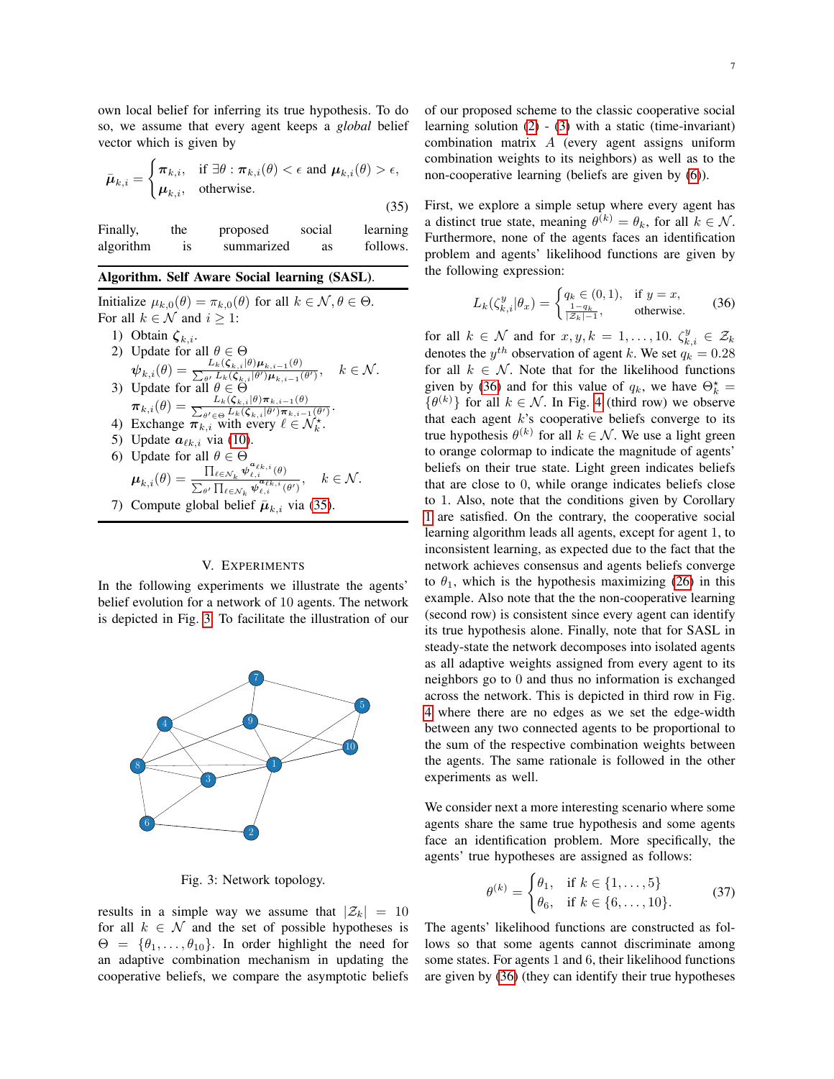own local belief for inferring its true hypothesis. To do so, we assume that every agent keeps a *global* belief vector which is given by

$$
\bar{\boldsymbol{\mu}}_{k,i} = \begin{cases} \pi_{k,i}, & \text{if } \exists \theta : \pi_{k,i}(\theta) < \epsilon \text{ and } \boldsymbol{\mu}_{k,i}(\theta) > \epsilon, \\ \boldsymbol{\mu}_{k,i}, & \text{otherwise.} \end{cases} \tag{35}
$$

Finally, the proposed social learning algorithm is summarized as follows.

## Algorithm. Self Aware Social learning (SASL).

Initialize  $\mu_{k,0}(\theta) = \pi_{k,0}(\theta)$  for all  $k \in \mathcal{N}, \theta \in \Theta$ . For all  $k \in \mathcal{N}$  and  $i \geq 1$ :

- 1) Obtain  $\zeta_{k,i}$ . 2) Update for all  $\theta \in \Theta$  $\hat{\bm{\psi}_{k,i}}(\theta) = \frac{L_k(\bm{\zeta}_{k,i}|\theta)\bm{\mu}_{k,i-1}(\theta)}{\sum_{\bm{a}'} L_k(\bm{\zeta}_{k,i}|\theta')\bm{\mu}_{k,i-1}(\theta)}$  $\psi_{k,i}(\theta) = \sum_{\theta} L_k(\zeta_{k,i}|\theta') \mu_{k,i-1}(\theta')$ <br>3) Update for all  $\theta \in \Theta$  $k \in \mathcal{N}$ .  $\boldsymbol{\pi}_{k,i}(\theta) = \frac{L_k(\boldsymbol{\zeta}_{k,i}|\theta)\boldsymbol{\pi}_{k,i-1}(\theta)}{\sum_{\theta' \in \Theta} L_k(\boldsymbol{\zeta}_{k,i}|\theta')\boldsymbol{\pi}_{k,i-1}}$  $\frac{L_k(\boldsymbol{\zeta}_{k,i}|\theta) \boldsymbol{\mu}_{k,i-1}(\theta)}{\theta' \in \Theta} L_k(\boldsymbol{\zeta}_{k,i}|\theta') \boldsymbol{\pi}_{k,i-1}(\theta')$
- 4) Exchange  $\pi_{k,i}$  with every  $\ell \in \mathcal{N}_k^{\star}$ .
- 5) Update  $a_{\ell k,i}$  via [\(10\)](#page-3-0).
- 6) Update for all  $\theta \in \Theta$  $\boldsymbol{\mu}_{k,i}(\theta) = \frac{\prod_{\ell \in \mathcal{N}_k} \boldsymbol{\psi}^{\boldsymbol{a}_{\ell k,i}}_{\ell,i}(\theta)}{\sum \prod_{\boldsymbol{a} \mid \boldsymbol{a}^{\boldsymbol{a}_{\ell k,i}} \in \mathbb{R}^{n}}$  $\sum_{\theta'} \frac{1}{\prod_{\ell \in \mathcal{N}_k} \boldsymbol{\psi}^{\boldsymbol{a}_{\ell k,i}}_{\ell,i}(\theta')}$ ,  $k \in \mathcal{N}$ .
- 7) Compute global belief  $\bar{\mu}_{k,i}$  via [\(35\)](#page-6-0).

## V. EXPERIMENTS

In the following experiments we illustrate the agents' belief evolution for a network of 10 agents. The network is depicted in Fig. [3.](#page-6-1) To facilitate the illustration of our

<span id="page-6-1"></span>

Fig. 3: Network topology.

results in a simple way we assume that  $|\mathcal{Z}_k| = 10$ for all  $k \in \mathcal{N}$  and the set of possible hypotheses is  $\Theta = {\theta_1, \ldots, \theta_{10}}$ . In order highlight the need for an adaptive combination mechanism in updating the cooperative beliefs, we compare the asymptotic beliefs

of our proposed scheme to the classic cooperative social learning solution [\(2\)](#page-1-1) - [\(3\)](#page-1-0) with a static (time-invariant) combination matrix A (every agent assigns uniform combination weights to its neighbors) as well as to the non-cooperative learning (beliefs are given by [\(6\)](#page-2-1)).

<span id="page-6-0"></span>First, we explore a simple setup where every agent has a distinct true state, meaning  $\theta^{(k)} = \theta_k$ , for all  $k \in \mathcal{N}$ . Furthermore, none of the agents faces an identification problem and agents' likelihood functions are given by the following expression:

<span id="page-6-2"></span>
$$
L_k(\zeta_{k,i}^y|\theta_x) = \begin{cases} q_k \in (0,1), & \text{if } y = x, \\ \frac{1-q_k}{|\mathcal{Z}_k| - 1}, & \text{otherwise.} \end{cases} \tag{36}
$$

for all  $k \in \mathcal{N}$  and for  $x, y, k = 1, ..., 10$ .  $\zeta_{k,i}^y \in \mathcal{Z}_k$ denotes the  $y^{th}$  observation of agent k. We set  $q_k = 0.28$ for all  $k \in \mathcal{N}$ . Note that for the likelihood functions given by [\(36\)](#page-6-2) and for this value of  $q_k$ , we have  $\Theta_k^* =$  $\{\theta^{(k)}\}$  for all  $k \in \mathcal{N}$ . In Fig. [4](#page-7-0) (third row) we observe that each agent  $k$ 's cooperative beliefs converge to its true hypothesis  $\theta^{(k)}$  for all  $k \in \mathcal{N}$ . We use a light green to orange colormap to indicate the magnitude of agents' beliefs on their true state. Light green indicates beliefs that are close to 0, while orange indicates beliefs close to 1. Also, note that the conditions given by Corollary [1](#page-4-4) are satisfied. On the contrary, the cooperative social learning algorithm leads all agents, except for agent 1, to inconsistent learning, as expected due to the fact that the network achieves consensus and agents beliefs converge to  $\theta_1$ , which is the hypothesis maximizing [\(26\)](#page-4-2) in this example. Also note that the the non-cooperative learning (second row) is consistent since every agent can identify its true hypothesis alone. Finally, note that for SASL in steady-state the network decomposes into isolated agents as all adaptive weights assigned from every agent to its neighbors go to 0 and thus no information is exchanged across the network. This is depicted in third row in Fig. [4](#page-7-0) where there are no edges as we set the edge-width between any two connected agents to be proportional to the sum of the respective combination weights between the agents. The same rationale is followed in the other experiments as well.

We consider next a more interesting scenario where some agents share the same true hypothesis and some agents face an identification problem. More specifically, the agents' true hypotheses are assigned as follows:

<span id="page-6-3"></span>
$$
\theta^{(k)} = \begin{cases} \theta_1, & \text{if } k \in \{1, \dots, 5\} \\ \theta_6, & \text{if } k \in \{6, \dots, 10\}. \end{cases}
$$
 (37)

The agents' likelihood functions are constructed as follows so that some agents cannot discriminate among some states. For agents 1 and 6, their likelihood functions are given by [\(36\)](#page-6-2) (they can identify their true hypotheses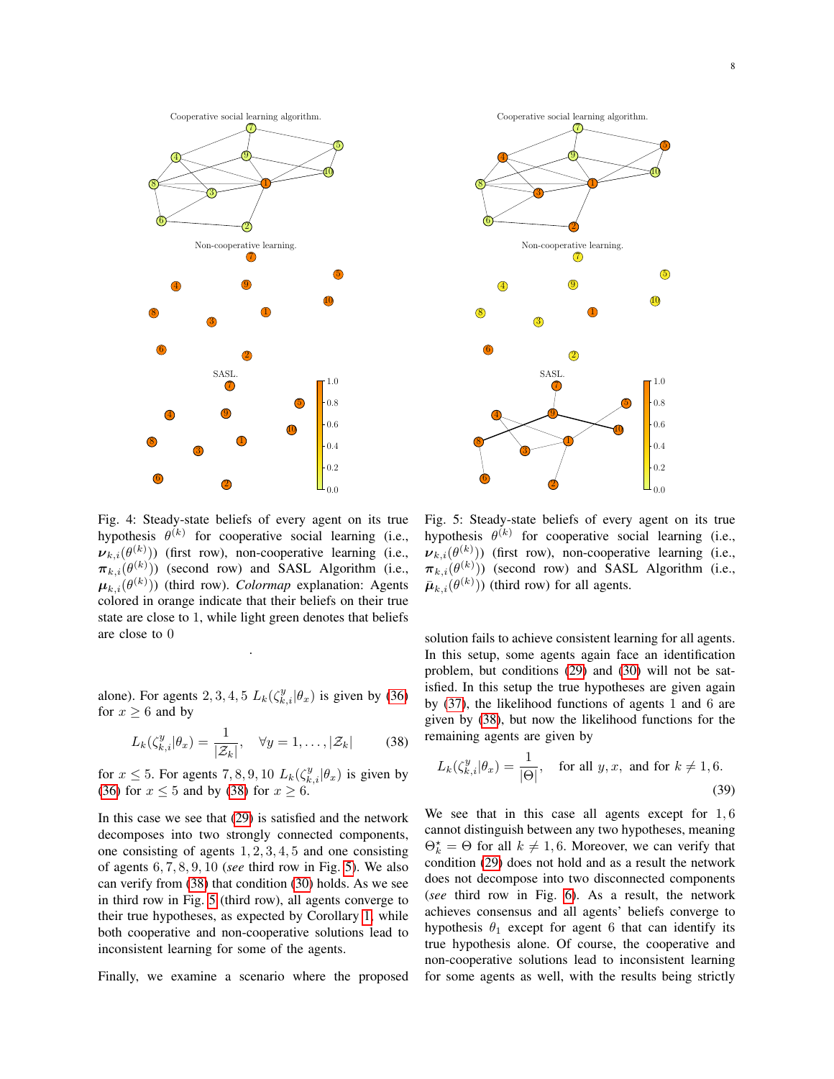<span id="page-7-0"></span>

<span id="page-7-2"></span>

Fig. 4: Steady-state beliefs of every agent on its true hypothesis  $\theta^{(k)}$  for cooperative social learning (i.e.,  $\nu_{k,i}(\theta^{(k)}))$  (first row), non-cooperative learning (i.e.,  $\pi_{k,i}(\theta^{(k)}))$  (second row) and SASL Algorithm (i.e.,  $\boldsymbol{\mu}_{k,i}(\theta^{(k)}))$  (third row). *Colormap* explanation: Agents colored in orange indicate that their beliefs on their true state are close to 1, while light green denotes that beliefs are close to 0

alone). For agents 2, 3, 4, 5  $L_k(\zeta_{k,i}^y|\theta_x)$  is given by [\(36\)](#page-6-2) for  $x \geq 6$  and by

.

$$
L_k(\zeta_{k,i}^y|\theta_x) = \frac{1}{|\mathcal{Z}_k|}, \quad \forall y = 1,\ldots,|\mathcal{Z}_k| \tag{38}
$$

for  $x \le 5$ . For agents 7, 8, 9, 10  $L_k(\zeta_{k,i}^y|\theta_x)$  is given by [\(36\)](#page-6-2) for  $x \le 5$  and by [\(38\)](#page-7-1) for  $x \ge 6$ .

In this case we see that [\(29\)](#page-5-0) is satisfied and the network decomposes into two strongly connected components, one consisting of agents 1, 2, 3, 4, 5 and one consisting of agents 6, 7, 8, 9, 10 (*see* third row in Fig. [5\)](#page-7-2). We also can verify from [\(38\)](#page-7-1) that condition [\(30\)](#page-5-1) holds. As we see in third row in Fig. [5](#page-7-2) (third row), all agents converge to their true hypotheses, as expected by Corollary [1,](#page-4-4) while both cooperative and non-cooperative solutions lead to inconsistent learning for some of the agents.

Finally, we examine a scenario where the proposed

Fig. 5: Steady-state beliefs of every agent on its true hypothesis  $\theta^{(k)}$  for cooperative social learning (i.e.,  $\nu_{k,i}(\theta^{(k)}))$  (first row), non-cooperative learning (i.e.,  $\pi_{k,i}(\theta^{(k)}))$  (second row) and SASL Algorithm (i.e.,  $\bar{\boldsymbol{\mu}}_{k,i}(\theta^{(k)}))$  (third row) for all agents.

solution fails to achieve consistent learning for all agents. In this setup, some agents again face an identification problem, but conditions [\(29\)](#page-5-0) and [\(30\)](#page-5-1) will not be satisfied. In this setup the true hypotheses are given again by [\(37\)](#page-6-3), the likelihood functions of agents 1 and 6 are given by [\(38\)](#page-7-1), but now the likelihood functions for the remaining agents are given by

<span id="page-7-1"></span>
$$
L_k(\zeta_{k,i}^y|\theta_x) = \frac{1}{|\Theta|}, \quad \text{for all } y, x, \text{ and for } k \neq 1, 6.
$$
\n(39)

We see that in this case all agents except for  $1, 6$ cannot distinguish between any two hypotheses, meaning  $\Theta_k^* = \Theta$  for all  $k \neq 1, 6$ . Moreover, we can verify that condition [\(29\)](#page-5-0) does not hold and as a result the network does not decompose into two disconnected components (*see* third row in Fig. [6\)](#page-8-2). As a result, the network achieves consensus and all agents' beliefs converge to hypothesis  $\theta_1$  except for agent 6 that can identify its true hypothesis alone. Of course, the cooperative and non-cooperative solutions lead to inconsistent learning for some agents as well, with the results being strictly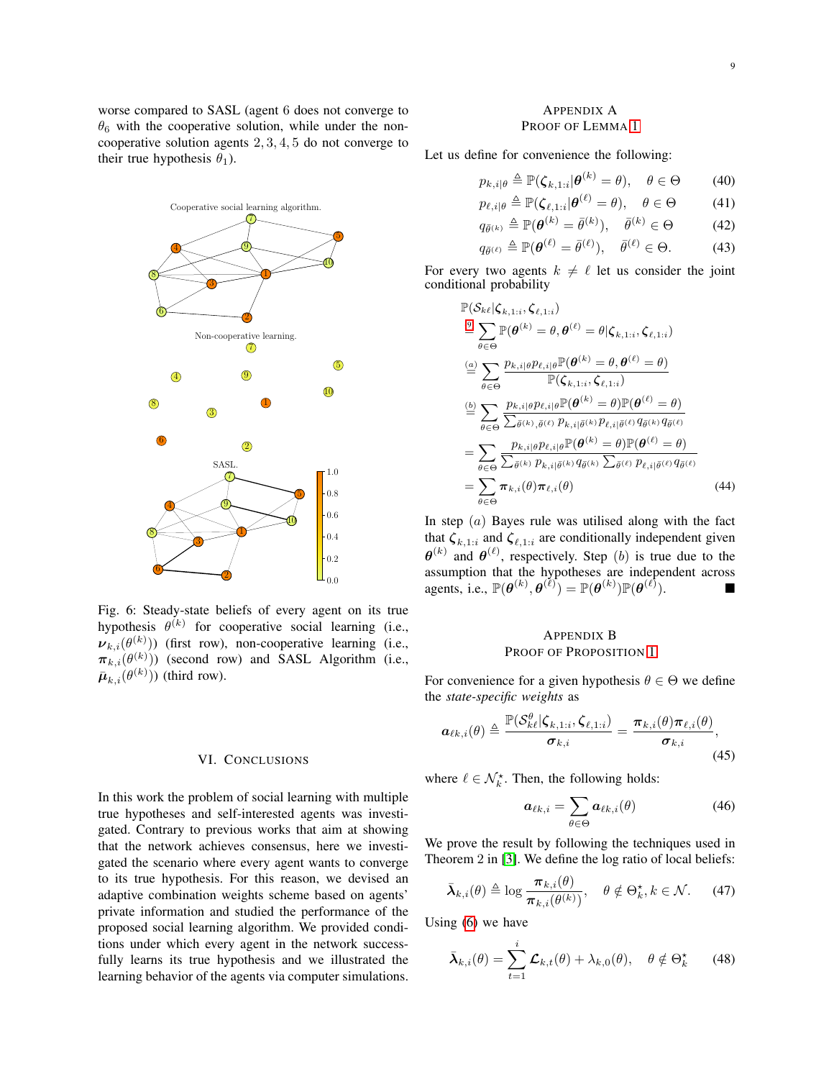worse compared to SASL (agent 6 does not converge to  $\theta_6$  with the cooperative solution, while under the noncooperative solution agents 2, 3, 4, 5 do not converge to their true hypothesis  $\theta_1$ ).

<span id="page-8-2"></span>

Fig. 6: Steady-state beliefs of every agent on its true hypothesis  $\theta^{(k)}$  for cooperative social learning (i.e.,  $\nu_{k,i}(\theta^{(k)}))$  (first row), non-cooperative learning (i.e.,  $\pi_{k,i}(\theta^{(k)}))$  (second row) and SASL Algorithm (i.e.,  $\bar{\boldsymbol{\mu}}_{k,i}(\theta^{(k)}))$  (third row).

#### VI. CONCLUSIONS

In this work the problem of social learning with multiple true hypotheses and self-interested agents was investigated. Contrary to previous works that aim at showing that the network achieves consensus, here we investigated the scenario where every agent wants to converge to its true hypothesis. For this reason, we devised an adaptive combination weights scheme based on agents' private information and studied the performance of the proposed social learning algorithm. We provided conditions under which every agent in the network successfully learns its true hypothesis and we illustrated the learning behavior of the agents via computer simulations.

# <span id="page-8-0"></span>APPENDIX A PROOF OF LEMMA [1](#page-3-1)

Let us define for convenience the following:

$$
p_{k,i|\theta} \triangleq \mathbb{P}(\zeta_{k,1:i}|\boldsymbol{\theta}^{(k)}=\theta), \quad \theta \in \Theta \tag{40}
$$

$$
p_{\ell,i|\theta} \triangleq \mathbb{P}(\zeta_{\ell,1:i}|\boldsymbol{\theta}^{(\ell)} = \theta), \quad \theta \in \Theta \tag{41}
$$

$$
q_{\bar{\theta}^{(k)}} \triangleq \mathbb{P}(\theta^{(k)} = \bar{\theta}^{(k)}), \quad \bar{\theta}^{(k)} \in \Theta \tag{42}
$$
\n
$$
q_{\bar{\theta}^{(k)}} \triangleq \mathbb{P}(\theta^{(\ell)} - \bar{\theta}^{(\ell)}) \quad \bar{\theta}^{(\ell)} \in \Theta \tag{43}
$$

$$
q_{\bar{\theta}^{(\ell)}} \triangleq \mathbb{P}(\boldsymbol{\theta}^{(\ell)} = \bar{\theta}^{(\ell)}), \quad \bar{\theta}^{(\ell)} \in \Theta.
$$
 (43)

For every two agents  $k \neq \ell$  let us consider the joint conditional probability

$$
\mathbb{P}(\mathcal{S}_{k\ell}|\boldsymbol{\zeta}_{k,1:i},\boldsymbol{\zeta}_{\ell,1:i})
$$
\n
$$
\stackrel{(a)}{=} \sum_{\theta \in \Theta} \mathbb{P}(\boldsymbol{\theta}^{(k)} = \theta, \boldsymbol{\theta}^{(\ell)} = \theta | \boldsymbol{\zeta}_{k,1:i},\boldsymbol{\zeta}_{\ell,1:i})
$$
\n
$$
\stackrel{(a)}{=} \sum_{\theta \in \Theta} \frac{p_{k,i|\theta} p_{\ell,i|\theta} \mathbb{P}(\boldsymbol{\theta}^{(k)} = \theta, \boldsymbol{\theta}^{(\ell)} = \theta)}{\mathbb{P}(\boldsymbol{\zeta}_{k,1:i},\boldsymbol{\zeta}_{\ell,1:i})}
$$
\n
$$
\stackrel{(b)}{=} \sum_{\theta \in \Theta} \frac{p_{k,i|\theta} p_{\ell,i|\theta} \mathbb{P}(\boldsymbol{\theta}^{(k)} = \theta) \mathbb{P}(\boldsymbol{\theta}^{(\ell)} = \theta)}{\sum_{\tilde{\theta}^{(k)},\tilde{\theta}^{(\ell)}} \sum_{\tilde{\theta}^{(k)},\tilde{\theta}^{(\ell)}} p_{\ell,i|\tilde{\theta}^{(k)}} p_{\ell,i|\tilde{\theta}^{(\ell)}} q_{\tilde{\theta}^{(k)}} q_{\tilde{\theta}^{(\ell)}}}
$$
\n
$$
= \sum_{\theta \in \Theta} \frac{p_{k,i|\theta} p_{\ell,i|\theta} \mathbb{P}(\boldsymbol{\theta}^{(k)} = \theta) \mathbb{P}(\boldsymbol{\theta}^{(\ell)} = \theta)}{\sum_{\tilde{\theta}^{(k)}} \sum_{\tilde{\theta}^{(k)}} p_{k,i|\tilde{\theta}^{(k)}} q_{\tilde{\theta}^{(k)}} \sum_{\tilde{\theta}^{(\ell)}} p_{\ell,i|\tilde{\theta}^{(\ell)}} q_{\tilde{\theta}^{(\ell)}}}
$$
\n
$$
= \sum_{\theta \in \Theta} \pi_{k,i}(\theta) \pi_{\ell,i}(\theta) \qquad (44)
$$

In step  $(a)$  Bayes rule was utilised along with the fact that  $\zeta_{k,1:i}$  and  $\zeta_{\ell,1:i}$  are conditionally independent given  $\theta^{(k)}$  and  $\theta^{(\ell)}$ , respectively. Step (b) is true due to the assumption that the hypotheses are independent across agents, i.e.,  $\mathbb{P}(\boldsymbol{\theta}^{(k)}, \boldsymbol{\theta}^{(\ell)}) = \mathbb{P}(\boldsymbol{\theta}^{(k)}) \mathbb{P}(\boldsymbol{\theta}^{(\ell)})$ ). ■

# <span id="page-8-1"></span>APPENDIX B PROOF OF PROPOSITION [1](#page-3-8)

For convenience for a given hypothesis  $\theta \in \Theta$  we define the *state-specific weights* as

$$
\boldsymbol{a}_{\ell k,i}(\theta) \triangleq \frac{\mathbb{P}(\mathcal{S}_{k\ell}^{\theta} | \boldsymbol{\zeta}_{k,1:i}, \boldsymbol{\zeta}_{\ell,1:i})}{\boldsymbol{\sigma}_{k,i}} = \frac{\boldsymbol{\pi}_{k,i}(\theta) \boldsymbol{\pi}_{\ell,i}(\theta)}{\boldsymbol{\sigma}_{k,i}},
$$
\n(45)

where  $\ell \in \mathcal{N}_{k}^{\star}$ . Then, the following holds:

<span id="page-8-4"></span><span id="page-8-3"></span>
$$
\boldsymbol{a}_{\ell k,i} = \sum_{\theta \in \Theta} \boldsymbol{a}_{\ell k,i}(\theta) \tag{46}
$$

We prove the result by following the techniques used in Theorem 2 in [\[3\]](#page-15-2). We define the log ratio of local beliefs:

$$
\bar{\boldsymbol{\lambda}}_{k,i}(\theta) \triangleq \log \frac{\boldsymbol{\pi}_{k,i}(\theta)}{\boldsymbol{\pi}_{k,i}(\theta^{(k)})}, \quad \theta \notin \Theta_k^{\star}, k \in \mathcal{N}.
$$
 (47)

Using [\(6\)](#page-2-1) we have

$$
\bar{\boldsymbol{\lambda}}_{k,i}(\theta) = \sum_{t=1}^{i} \mathcal{L}_{k,t}(\theta) + \lambda_{k,0}(\theta), \quad \theta \notin \Theta_k^{\star} \qquad (48)
$$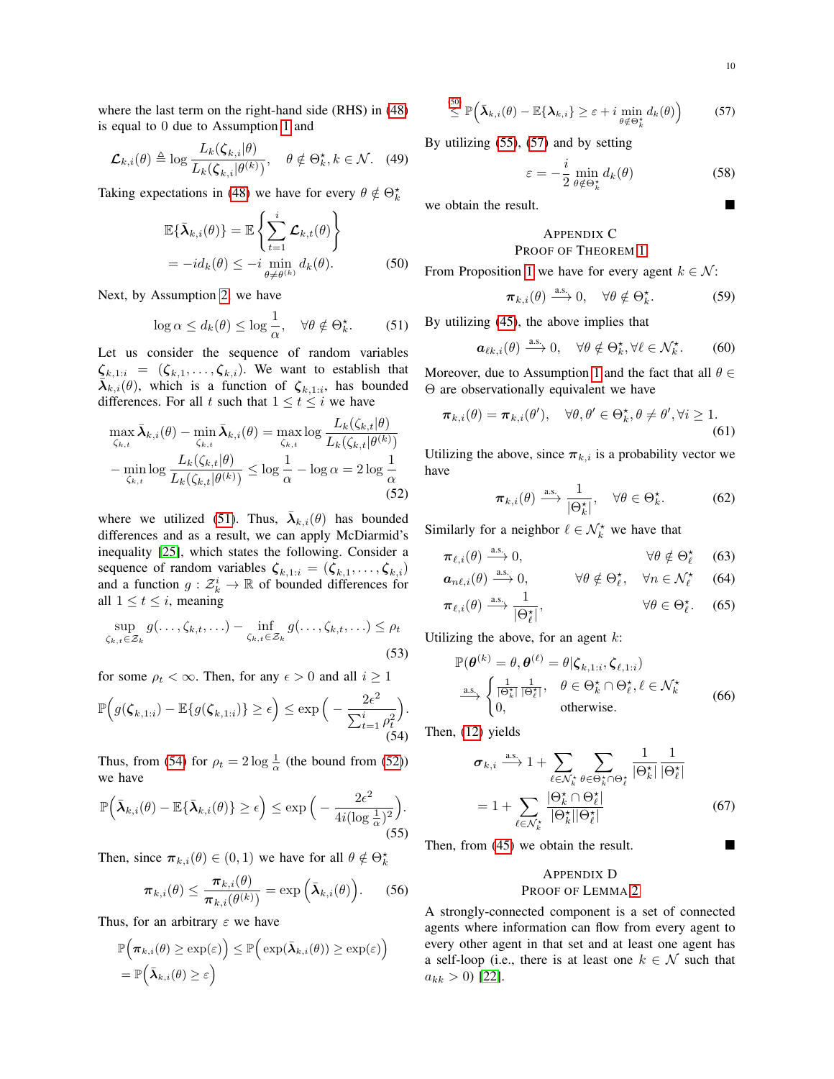where the last term on the right-hand side (RHS) in [\(48\)](#page-8-3) is equal to 0 due to Assumption [1](#page-3-3) and

$$
\mathcal{L}_{k,i}(\theta) \triangleq \log \frac{L_k(\zeta_{k,i}|\theta)}{L_k(\zeta_{k,i}|\theta^{(k)})}, \quad \theta \notin \Theta_k^{\star}, k \in \mathcal{N}. \quad (49)
$$

Taking expectations in [\(48\)](#page-8-3) we have for every  $\theta \notin \Theta_k^*$ 

$$
\mathbb{E}\{\bar{\boldsymbol{\lambda}}_{k,i}(\theta)\} = \mathbb{E}\left\{\sum_{t=1}^{i} \mathcal{L}_{k,t}(\theta)\right\}
$$
  
=  $-id_k(\theta) \le -i \min_{\theta \neq \theta^{(k)}} d_k(\theta).$  (50)

Next, by Assumption [2,](#page-3-4) we have

$$
\log \alpha \le d_k(\theta) \le \log \frac{1}{\alpha}, \quad \forall \theta \notin \Theta_k^{\star}.\tag{51}
$$

Let us consider the sequence of random variables  $\zeta_{k,1:i} = (\zeta_{k,1}, \ldots, \zeta_{k,i}).$  We want to establish that  $\overline{\lambda}_{k,i}(\theta)$ , which is a function of  $\zeta_{k,1:i}$ , has bounded differences. For all t such that  $1 \le t \le i$  we have

$$
\max_{\zeta_{k,t}} \bar{\lambda}_{k,i}(\theta) - \min_{\zeta_{k,t}} \bar{\lambda}_{k,i}(\theta) = \max_{\zeta_{k,t}} \log \frac{L_k(\zeta_{k,t}|\theta)}{L_k(\zeta_{k,t}|\theta^{(k)})}
$$

$$
- \min_{\zeta_{k,t}} \log \frac{L_k(\zeta_{k,t}|\theta)}{L_k(\zeta_{k,t}|\theta^{(k)})} \le \log \frac{1}{\alpha} - \log \alpha = 2 \log \frac{1}{\alpha}
$$
(52)

where we utilized [\(51\)](#page-9-2). Thus,  $\bar{\lambda}_{k,i}(\theta)$  has bounded differences and as a result, we can apply McDiarmid's inequality [\[25\]](#page-16-9), which states the following. Consider a sequence of random variables  $\zeta_{k,1:i} = (\zeta_{k,1}, \ldots, \zeta_{k,i})$ and a function  $g: \mathcal{Z}_k^i \to \mathbb{R}$  of bounded differences for all  $1 \le t \le i$ , meaning

$$
\sup_{\zeta_{k,t}\in\mathcal{Z}_k} g(\ldots,\zeta_{k,t},\ldots) - \inf_{\zeta_{k,t}\in\mathcal{Z}_k} g(\ldots,\zeta_{k,t},\ldots) \le \rho_t
$$
\n(53)

for some  $\rho_t < \infty$ . Then, for any  $\epsilon > 0$  and all  $i \ge 1$ 

$$
\mathbb{P}\Big(g(\zeta_{k,1:i}) - \mathbb{E}\{g(\zeta_{k,1:i})\} \ge \epsilon\Big) \le \exp\Big(-\frac{2\epsilon^2}{\sum_{t=1}^i \rho_t^2}\Big).
$$
\n(54)

Thus, from [\(54\)](#page-9-3) for  $\rho_t = 2 \log \frac{1}{\alpha}$  (the bound from [\(52\)](#page-9-4)) we have

$$
\mathbb{P}\Big(\bar{\boldsymbol{\lambda}}_{k,i}(\theta)-\mathbb{E}\{\bar{\boldsymbol{\lambda}}_{k,i}(\theta)\}\geq\epsilon\Big)\leq\exp\Big(-\frac{2\epsilon^2}{4i(\log\frac{1}{\alpha})^2}\Big).
$$
\n(55)

Then, since  $\pi_{k,i}(\theta) \in (0,1)$  we have for all  $\theta \notin \Theta_k^*$ 

$$
\boldsymbol{\pi}_{k,i}(\theta) \leq \frac{\boldsymbol{\pi}_{k,i}(\theta)}{\boldsymbol{\pi}_{k,i}(\theta^{(k)})} = \exp\left(\bar{\boldsymbol{\lambda}}_{k,i}(\theta)\right). \qquad (56)
$$

Thus, for an arbitrary  $\varepsilon$  we have

$$
\mathbb{P}\Big(\pi_{k,i}(\theta) \geq \exp(\varepsilon)\Big) \leq \mathbb{P}\Big(\exp(\bar{\boldsymbol{\lambda}}_{k,i}(\theta)) \geq \exp(\varepsilon)\Big) \n= \mathbb{P}\Big(\bar{\boldsymbol{\lambda}}_{k,i}(\theta) \geq \varepsilon\Big)
$$

$$
\stackrel{(50)}{\leq} \mathbb{P}\Big(\bar{\boldsymbol{\lambda}}_{k,i}(\theta)-\mathbb{E}\{\boldsymbol{\lambda}_{k,i}\}\geq \varepsilon+i\min_{\theta\notin\Theta_k^{\star}}d_k(\theta)\Big) \qquad (57)
$$

By utilizing [\(55\)](#page-9-6), [\(57\)](#page-9-7) and by setting

<span id="page-9-7"></span>
$$
\varepsilon = -\frac{i}{2} \min_{\theta \notin \Theta_k^*} d_k(\theta) \tag{58}
$$

we obtain the result.

# <span id="page-9-0"></span>APPENDIX C

# PROOF OF THEOREM [1](#page-3-5)

<span id="page-9-5"></span>From Proposition [1](#page-3-8) we have for every agent  $k \in \mathcal{N}$ :

$$
\pi_{k,i}(\theta) \stackrel{\text{a.s.}}{\longrightarrow} 0, \quad \forall \theta \notin \Theta_k^{\star}.
$$
 (59)

<span id="page-9-2"></span>By utilizing [\(45\)](#page-8-4), the above implies that

$$
\boldsymbol{a}_{\ell k,i}(\theta) \stackrel{\text{a.s.}}{\longrightarrow} 0, \quad \forall \theta \notin \Theta_k^{\star}, \forall \ell \in \mathcal{N}_k^{\star}.\tag{60}
$$

Moreover, due to Assumption [1](#page-3-3) and the fact that all  $\theta \in$ Θ are observationally equivalent we have

$$
\boldsymbol{\pi}_{k,i}(\theta) = \boldsymbol{\pi}_{k,i}(\theta'), \quad \forall \theta, \theta' \in \Theta_k^{\star}, \theta \neq \theta', \forall i \geq 1.
$$
\n(61)

<span id="page-9-4"></span>Utilizing the above, since  $\pi_{k,i}$  is a probability vector we have

<span id="page-9-8"></span>
$$
\pi_{k,i}(\theta) \xrightarrow{\text{a.s.}} \frac{1}{|\Theta_k^{\star}|}, \quad \forall \theta \in \Theta_k^{\star}.
$$
 (62)

Similarly for a neighbor  $\ell \in \mathcal{N}_k^*$  we have that

$$
\pi_{\ell,i}(\theta) \stackrel{\text{a.s.}}{\longrightarrow} 0, \qquad \forall \theta \notin \Theta_{\ell}^{\star} \quad (63)
$$

$$
\boldsymbol{a}_{n\ell,i}(\theta) \xrightarrow{a.s.} 0, \qquad \forall \theta \notin \Theta_{\ell}^{\star}, \quad \forall n \in \mathcal{N}_{\ell}^{\star} \tag{64}
$$

$$
\pi_{\ell,i}(\theta) \xrightarrow{\text{a.s.}} \frac{1}{|\Theta_{\ell}^{\star}|}, \qquad \forall \theta \in \Theta_{\ell}^{\star}.
$$
 (65)

Utilizing the above, for an agent  $k$ :

$$
\mathbb{P}(\boldsymbol{\theta}^{(k)} = \theta, \boldsymbol{\theta}^{(\ell)} = \theta | \zeta_{k,1:i}, \zeta_{\ell,1:i})
$$
\n
$$
\xrightarrow{\text{as.}} \begin{cases}\n\frac{1}{|\Theta_k^*|} \frac{1}{|\Theta_\ell^*|}, & \theta \in \Theta_k^* \cap \Theta_\ell^*, \ell \in \mathcal{N}_k^* \\
0, & \text{otherwise.} \n\end{cases} (66)
$$

<span id="page-9-3"></span>Then, [\(12\)](#page-3-9) yields

$$
\sigma_{k,i} \xrightarrow{\text{a.s.}} 1 + \sum_{\ell \in \mathcal{N}_k^*} \sum_{\theta \in \Theta_k^* \cap \Theta_\ell^*} \frac{1}{|\Theta_k^*|} \frac{1}{|\Theta_\ell^*|} \n= 1 + \sum_{\ell \in \mathcal{N}_k^*} \frac{|\Theta_k^* \cap \Theta_\ell^*|}{|\Theta_\ell^*|}
$$
\n(67)

<span id="page-9-6"></span>Then, from [\(45\)](#page-8-4) we obtain the result.

# <span id="page-9-1"></span>APPENDIX D PROOF OF LEMMA [2](#page-4-5)

A strongly-connected component is a set of connected agents where information can flow from every agent to every other agent in that set and at least one agent has a self-loop (i.e., there is at least one  $k \in \mathcal{N}$  such that  $a_{kk} > 0$  [\[22\]](#page-16-6).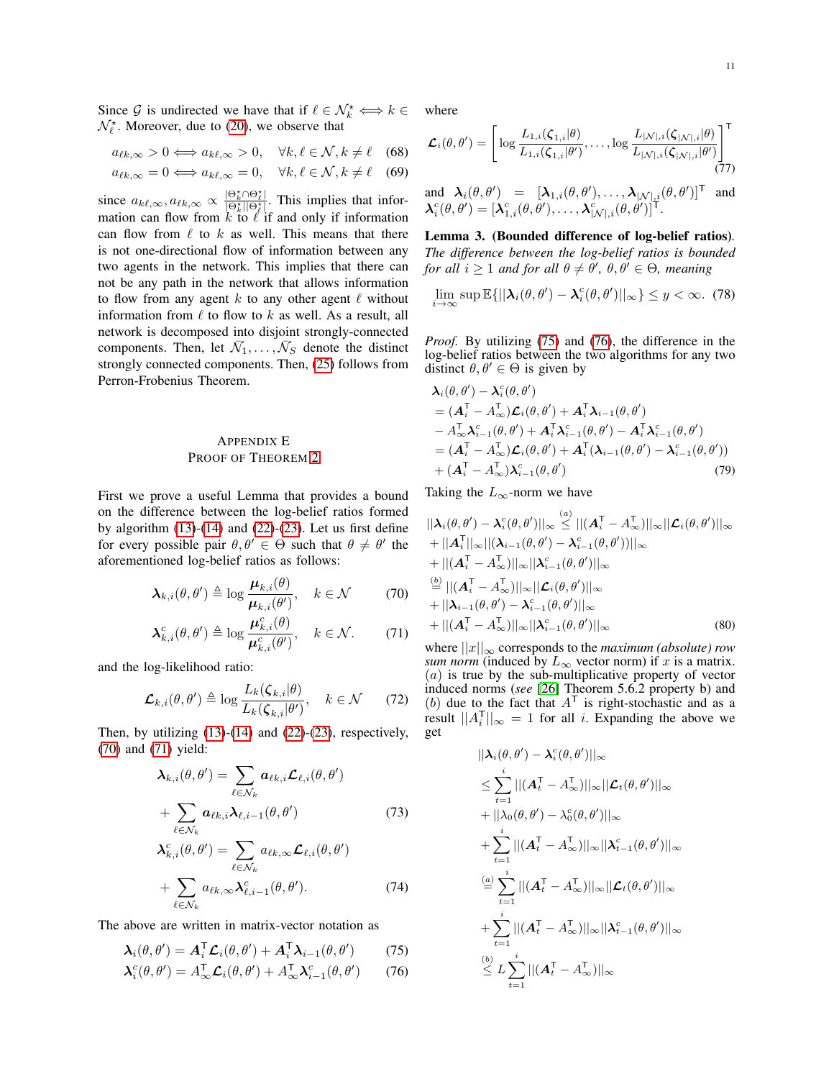Since G is undirected we have that if  $\ell \in \mathcal{N}_k^* \Longleftrightarrow k \in$  $\mathcal{N}_{\ell}^{\star}$ . Moreover, due to [\(20\)](#page-4-6), we observe that

$$
a_{\ell k,\infty} > 0 \Longleftrightarrow a_{k\ell,\infty} > 0, \quad \forall k, \ell \in \mathcal{N}, k \neq \ell \quad (68)
$$

$$
a_{\ell k,\infty} = 0 \Longleftrightarrow a_{k\ell,\infty} = 0, \quad \forall k,\ell \in \mathcal{N}, k \neq \ell \quad (69)
$$

since  $a_{k\ell,\infty}, a_{\ell k,\infty} \propto \frac{|\Theta_k^* \cap \Theta_\ell^*|}{|\Theta_k^*| |\Theta_\ell^*|}$ . This implies that information can flow from k to  $\ell$  if and only if information can flow from  $\ell$  to k as well. This means that there is not one-directional flow of information between any two agents in the network. This implies that there can not be any path in the network that allows information to flow from any agent  $k$  to any other agent  $\ell$  without information from  $\ell$  to flow to k as well. As a result, all network is decomposed into disjoint strongly-connected components. Then, let  $\bar{N}_1, \ldots, \bar{N}_S$  denote the distinct strongly connected components. Then, [\(25\)](#page-4-7) follows from Perron-Frobenius Theorem.

# <span id="page-10-0"></span>APPENDIX E PROOF OF THEOREM [2](#page-4-3)

First we prove a useful Lemma that provides a bound on the difference between the log-belief ratios formed by algorithm  $(13)-(14)$  $(13)-(14)$  $(13)-(14)$  and  $(22)-(23)$  $(22)-(23)$  $(22)-(23)$ . Let us first define for every possible pair  $\theta, \theta' \in \Theta$  such that  $\theta \neq \theta'$  the aforementioned log-belief ratios as follows:

$$
\boldsymbol{\lambda}_{k,i}(\theta,\theta') \triangleq \log \frac{\boldsymbol{\mu}_{k,i}(\theta)}{\boldsymbol{\mu}_{k,i}(\theta')}, \quad k \in \mathcal{N} \tag{70}
$$

$$
\boldsymbol{\lambda}_{k,i}^c(\theta,\theta') \triangleq \log \frac{\boldsymbol{\mu}_{k,i}^c(\theta)}{\boldsymbol{\mu}_{k,i}^c(\theta')}, \quad k \in \mathcal{N}.
$$
 (71)

and the log-likelihood ratio:

$$
\mathcal{L}_{k,i}(\theta,\theta') \triangleq \log \frac{L_k(\zeta_{k,i}|\theta)}{L_k(\zeta_{k,i}|\theta')}, \quad k \in \mathcal{N} \qquad (72)
$$

Then, by utilizing  $(13)-(14)$  $(13)-(14)$  $(13)-(14)$  and  $(22)-(23)$  $(22)-(23)$  $(22)-(23)$ , respectively, [\(70\)](#page-10-1) and [\(71\)](#page-10-2) yield:

$$
\lambda_{k,i}(\theta,\theta') = \sum_{\ell \in \mathcal{N}_k} a_{\ell k,i} \mathcal{L}_{\ell,i}(\theta,\theta')
$$
  
+ 
$$
\sum_{\ell \in \mathcal{N}_k} a_{\ell k,i} \lambda_{\ell,i-1}(\theta,\theta')
$$
(73)

$$
\lambda_{k,i}^c(\theta,\theta') = \sum_{\ell \in \mathcal{N}_k} a_{\ell k,\infty} \mathcal{L}_{\ell,i}(\theta,\theta')
$$
  
+ 
$$
\sum_{\ell \in \mathcal{N}_k} a_{\ell k,\infty} \lambda_{\ell,i-1}^c(\theta,\theta').
$$
 (74)

The above are written in matrix-vector notation as

$$
\boldsymbol{\lambda}_i(\theta,\theta') = \boldsymbol{A}_i^{\mathsf{T}} \boldsymbol{\mathcal{L}}_i(\theta,\theta') + \boldsymbol{A}_i^{\mathsf{T}} \boldsymbol{\lambda}_{i-1}(\theta,\theta') \qquad (75)
$$

$$
\boldsymbol{\lambda}_i^c(\theta, \theta') = A_{\infty}^{\mathsf{T}} \boldsymbol{\mathcal{L}}_i(\theta, \theta') + A_{\infty}^{\mathsf{T}} \boldsymbol{\lambda}_{i-1}^c(\theta, \theta') \qquad (76)
$$

where

$$
\mathcal{L}_{i}(\theta,\theta')=\left[\log \frac{L_{1,i}(\zeta_{1,i}|\theta)}{L_{1,i}(\zeta_{1,i}|\theta')},\ldots,\log \frac{L_{|\mathcal{N}|,i}(\zeta_{|\mathcal{N}|,i}|\theta)}{L_{|\mathcal{N}|,i}(\zeta_{|\mathcal{N}|,i}|\theta')}\right]^\mathsf{T}
$$
(77)

and 
$$
\mathbf{\lambda}_i(\theta, \theta') = [\mathbf{\lambda}_{1,i}(\theta, \theta'), \dots, \mathbf{\lambda}_{|\mathcal{N}|,i}(\theta, \theta')]^\mathsf{T}
$$
 and  $\mathbf{\lambda}_i^c(\theta, \theta') = [\mathbf{\lambda}_{1,i}^c(\theta, \theta'), \dots, \mathbf{\lambda}_{|\mathcal{N}|,i}^c(\theta, \theta')]^\mathsf{T}$ .

<span id="page-10-5"></span>Lemma 3. (Bounded difference of log-belief ratios)*. The difference between the log-belief ratios is bounded for all*  $i \geq 1$  *and for all*  $\theta \neq \theta'$ ,  $\theta, \theta' \in \Theta$ , *meaning* 

$$
\lim_{i \to \infty} \sup \mathbb{E}\{||\boldsymbol{\lambda}_i(\theta, \theta') - \boldsymbol{\lambda}_i^c(\theta, \theta')||_{\infty}\} \le y < \infty. \tag{78}
$$

*Proof.* By utilizing [\(75\)](#page-10-3) and [\(76\)](#page-10-4), the difference in the log-belief ratios between the two algorithms for any two distinct  $\theta, \theta' \in \Theta$  is given by

$$
\lambda_i(\theta, \theta') - \lambda_i^c(\theta, \theta')
$$
\n
$$
= (A_i^{\mathsf{T}} - A_{\infty}^{\mathsf{T}}) \mathcal{L}_i(\theta, \theta') + A_i^{\mathsf{T}} \lambda_{i-1}(\theta, \theta')
$$
\n
$$
- A_{\infty}^{\mathsf{T}} \lambda_{i-1}^c(\theta, \theta') + A_i^{\mathsf{T}} \lambda_{i-1}^c(\theta, \theta') - A_i^{\mathsf{T}} \lambda_{i-1}^c(\theta, \theta')
$$
\n
$$
= (A_i^{\mathsf{T}} - A_{\infty}^{\mathsf{T}}) \mathcal{L}_i(\theta, \theta') + A_i^{\mathsf{T}} (\lambda_{i-1}(\theta, \theta') - \lambda_{i-1}^c(\theta, \theta'))
$$
\n
$$
+ (A_i^{\mathsf{T}} - A_{\infty}^{\mathsf{T}}) \lambda_{i-1}^c(\theta, \theta')
$$
\n(79)

Taking the  $L_{\infty}$ -norm we have

<span id="page-10-1"></span>
$$
||\boldsymbol{\lambda}_{i}(\theta,\theta') - \boldsymbol{\lambda}_{i}^{c}(\theta,\theta')||_{\infty} \leq ||(\boldsymbol{A}_{i}^{T} - \boldsymbol{A}_{\infty}^{T})||_{\infty} ||\boldsymbol{\mathcal{L}}_{i}(\theta,\theta')||_{\infty} + ||\boldsymbol{A}_{i}^{T}||_{\infty} ||(\boldsymbol{\lambda}_{i-1}(\theta,\theta') - \boldsymbol{\lambda}_{i-1}^{c}(\theta,\theta'))||_{\infty} + ||(\boldsymbol{A}_{i}^{T} - \boldsymbol{A}_{\infty}^{T})||_{\infty} ||\boldsymbol{\lambda}_{i-1}^{c}(\theta,\theta')||_{\infty} \n\overset{(b)}{=} ||(\boldsymbol{A}_{i}^{T} - \boldsymbol{A}_{\infty}^{T})||_{\infty} ||\boldsymbol{\mathcal{L}}_{i}(\theta,\theta')||_{\infty} + ||\boldsymbol{\lambda}_{i-1}(\theta,\theta') - \boldsymbol{\lambda}_{i-1}^{c}(\theta,\theta')||_{\infty} + ||(\boldsymbol{A}_{i}^{T} - \boldsymbol{A}_{\infty}^{T})||_{\infty} ||\boldsymbol{\lambda}_{i-1}^{c}(\theta,\theta')||_{\infty}
$$
\n(80)

 $(a)$ 

<span id="page-10-2"></span>where  $||x||_{\infty}$  corresponds to the *maximum (absolute) row sum norm* (induced by  $L_{\infty}$  vector norm) if x is a matrix. (a) is true by the sub-multiplicative property of vector induced norms (*see* [\[26\]](#page-16-10) Theorem 5.6.2 property b) and (b) due to the fact that  $A<sup>T</sup>$  is right-stochastic and as a result  $||A_i^{\mathsf{T}}||_{\infty} = 1$  for all *i*. Expanding the above we get

<span id="page-10-4"></span><span id="page-10-3"></span>
$$
||\lambda_i(\theta, \theta') - \lambda_i^c(\theta, \theta')||_{\infty}
$$
  
\n
$$
\leq \sum_{t=1}^i ||(A_t^{\mathsf{T}} - A_{\infty}^{\mathsf{T}})||_{\infty} ||\mathcal{L}_t(\theta, \theta')||_{\infty}
$$
  
\n
$$
+ ||\lambda_0(\theta, \theta') - \lambda_0^c(\theta, \theta')||_{\infty}
$$
  
\n
$$
+ \sum_{t=1}^i ||(A_t^{\mathsf{T}} - A_{\infty}^{\mathsf{T}})||_{\infty} ||\lambda_{t-1}^c(\theta, \theta')||_{\infty}
$$
  
\n
$$
\stackrel{(a)}{=} \sum_{t=1}^i ||(A_t^{\mathsf{T}} - A_{\infty}^{\mathsf{T}})||_{\infty} ||\mathcal{L}_t(\theta, \theta')||_{\infty}
$$
  
\n
$$
+ \sum_{t=1}^i ||(A_t^{\mathsf{T}} - A_{\infty}^{\mathsf{T}})||_{\infty} ||\lambda_{t-1}^c(\theta, \theta')||_{\infty}
$$
  
\n
$$
\stackrel{(b)}{\leq} L \sum_{t=1}^i ||(A_t^{\mathsf{T}} - A_{\infty}^{\mathsf{T}})||_{\infty}
$$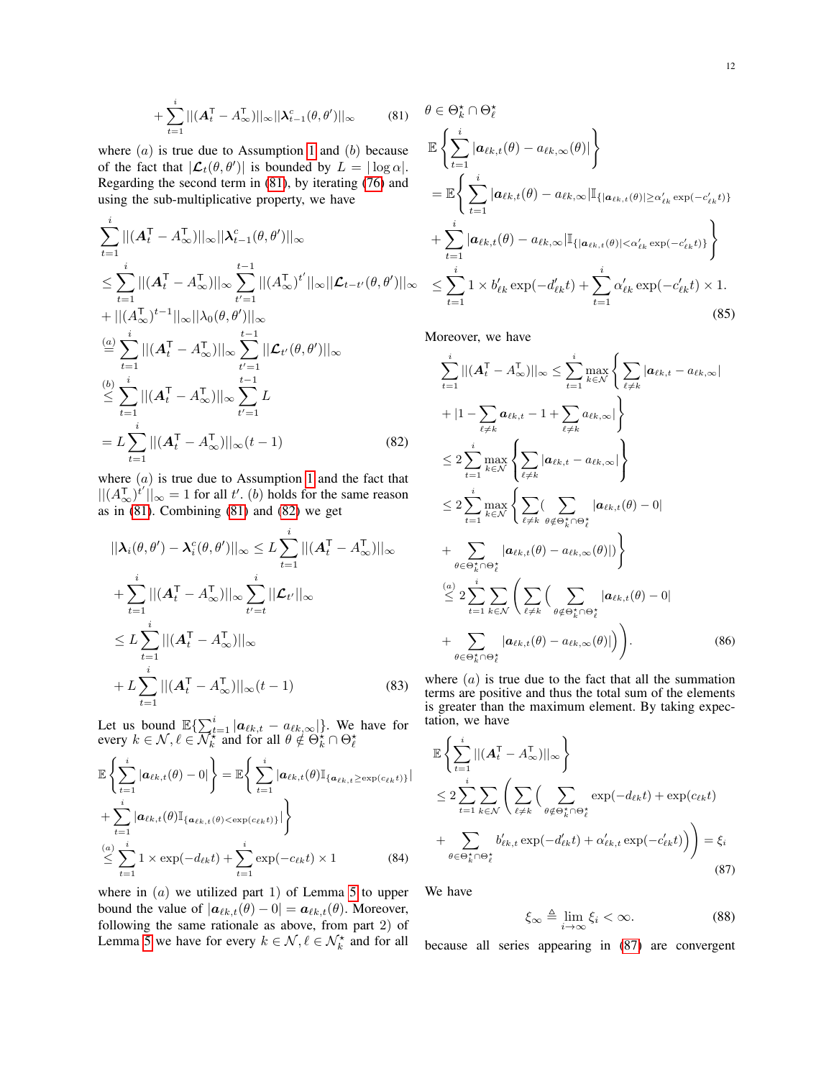$$
+\sum_{t=1}^{i}||(A_t^\mathsf{T} - A_\infty^\mathsf{T})||_\infty||\lambda_{t-1}^c(\theta, \theta')||_\infty \qquad (81)
$$

where  $(a)$  is true due to Assumption [1](#page-3-3) and  $(b)$  because of the fact that  $|\mathcal{L}_t(\theta, \theta')|$  is bounded by  $L = |\log \alpha|$ . Regarding the second term in [\(81\)](#page-11-0), by iterating [\(76\)](#page-10-4) and using the sub-multiplicative property, we have

$$
\sum_{t=1}^{i}||(A_t^{\mathsf{T}} - A_{\infty}^{\mathsf{T}})||_{\infty}||\lambda_{t-1}^{c}(\theta, \theta')||_{\infty} \n\leq \sum_{t=1}^{i}||(A_t^{\mathsf{T}} - A_{\infty}^{\mathsf{T}})||_{\infty} \sum_{t'=1}^{t-1}||(A_{\infty}^{\mathsf{T}})^{t'}||_{\infty}||\mathcal{L}_{t-t'}(\theta, \theta')||_{\infty} \n+||(A_{\infty}^{\mathsf{T}})^{t-1}||_{\infty}||\lambda_{0}(\theta, \theta')||_{\infty} \n\stackrel{(a)}{=} \sum_{t=1}^{i}||(A_t^{\mathsf{T}} - A_{\infty}^{\mathsf{T}})||_{\infty} \sum_{t'=1}^{t-1}||\mathcal{L}_{t'}(\theta, \theta')||_{\infty} \n\leq \sum_{t=1}^{i}||(A_t^{\mathsf{T}} - A_{\infty}^{\mathsf{T}})||_{\infty} \sum_{t'=1}^{t-1}L \n= L \sum_{t=1}^{i}||(A_t^{\mathsf{T}} - A_{\infty}^{\mathsf{T}})||_{\infty}(t-1)
$$
\n(82)

where  $(a)$  is true due to Assumption [1](#page-3-3) and the fact that  $||(A_{\infty}^{\mathsf{T}})^{i'}||_{\infty} = 1$  for all t'. (b) holds for the same reason as in  $(81)$ . Combining  $(81)$  and  $(82)$  we get

$$
||\boldsymbol{\lambda}_{i}(\theta,\theta') - \boldsymbol{\lambda}_{i}^{c}(\theta,\theta')||_{\infty} \leq L \sum_{t=1}^{i} ||(\boldsymbol{A}_{t}^{T} - \boldsymbol{A}_{\infty}^{T})||_{\infty}
$$
  
+ 
$$
\sum_{t=1}^{i} ||(\boldsymbol{A}_{t}^{T} - \boldsymbol{A}_{\infty}^{T})||_{\infty} \sum_{t'=t}^{i} ||\boldsymbol{\mathcal{L}}_{t'}||_{\infty}
$$
  

$$
\leq L \sum_{t=1}^{i} ||(\boldsymbol{A}_{t}^{T} - \boldsymbol{A}_{\infty}^{T})||_{\infty}
$$
  
+ 
$$
L \sum_{t=1}^{i} ||(\boldsymbol{A}_{t}^{T} - \boldsymbol{A}_{\infty}^{T})||_{\infty} (t-1)
$$
 (83)

Let us bound  $\mathbb{E}\left\{\sum_{t=1}^{i} |a_{\ell k,t} - a_{\ell k,\infty}|\right\}$ . We have for every  $k \in \mathcal{N}, \ell \in \overline{\mathcal{N}_k^*}$  and for all  $\theta \notin \Theta_k^* \cap \Theta_\ell^*$ 

$$
\mathbb{E}\left\{\sum_{t=1}^{i}|\boldsymbol{a}_{\ell k,t}(\theta)-0|\right\} = \mathbb{E}\left\{\sum_{t=1}^{i}|\boldsymbol{a}_{\ell k,t}(\theta)\mathbb{I}_{\{\boldsymbol{a}_{\ell k,t}\geq \exp(c_{\ell k}t)\}}| + \sum_{t=1}^{i}|\boldsymbol{a}_{\ell k,t}(\theta)\mathbb{I}_{\{\boldsymbol{a}_{\ell k,t}(\theta) < \exp(c_{\ell k}t)\}}|\right\}
$$
\n
$$
\leq \sum_{t=1}^{i}1 \times \exp(-d_{\ell k}t) + \sum_{t=1}^{i} \exp(-c_{\ell k}t) \times 1
$$
\n(84)

where in  $(a)$  we utilized part 1) of Lemma [5](#page-13-0) to upper bound the value of  $|\boldsymbol{a}_{\ell k,t}(\theta) - 0| = \boldsymbol{a}_{\ell k,t}(\theta)$ . Moreover, following the same rationale as above, from part 2) of Lemma [5](#page-13-0) we have for every  $k \in \mathcal{N}, \ell \in \mathcal{N}_k^{\star}$  and for all

<span id="page-11-0"></span>
$$
\theta \in \Theta_k^{\star} \cap \Theta_\ell^{\star}
$$
\n
$$
\mathbb{E}\left\{\sum_{t=1}^i |\boldsymbol{a}_{\ell k,t}(\theta) - a_{\ell k,\infty}(\theta)|\right\}
$$
\n
$$
= \mathbb{E}\left\{\sum_{t=1}^i |\boldsymbol{a}_{\ell k,t}(\theta) - a_{\ell k,\infty}|\mathbb{I}_{\{|\boldsymbol{a}_{\ell k,t}(\theta)|\geq \alpha_{\ell k}' \exp(-c_{\ell k}'t)\}}\right\}
$$
\n
$$
+ \sum_{t=1}^i |\boldsymbol{a}_{\ell k,t}(\theta) - a_{\ell k,\infty}|\mathbb{I}_{\{|\boldsymbol{a}_{\ell k,t}(\theta)|<\alpha_{\ell k}' \exp(-c_{\ell k}'t)\}}\right\}
$$
\n
$$
\leq \sum_{t=1}^i 1 \times b_{\ell k}' \exp(-d_{\ell k}'t) + \sum_{t=1}^i \alpha_{\ell k}' \exp(-c_{\ell k}'t) \times 1.
$$
\n(85)

Moreover, we have

<span id="page-11-1"></span>
$$
\sum_{t=1}^{i} ||(A_t^{\mathsf{T}} - A_{\infty}^{\mathsf{T}})||_{\infty} \leq \sum_{t=1}^{i} \max_{k \in \mathcal{N}} \left\{ \sum_{\ell \neq k} |a_{\ell k, t} - a_{\ell k, \infty}| + |1 - \sum_{\ell \neq k} a_{\ell k, t} - 1 + \sum_{\ell \neq k} a_{\ell k, \infty}| \right\}
$$
\n
$$
\leq 2 \sum_{t=1}^{i} \max_{k \in \mathcal{N}} \left\{ \sum_{\ell \neq k} |a_{\ell k, t} - a_{\ell k, \infty}| \right\}
$$
\n
$$
\leq 2 \sum_{t=1}^{i} \max_{k \in \mathcal{N}} \left\{ \sum_{\ell \neq k} ( \sum_{\theta \notin \Theta_k^* \cap \Theta_\ell^*} |a_{\ell k, t}(\theta) - 0| + \sum_{\theta \in \Theta_k^* \cap \Theta_\ell^*} |a_{\ell k, t}(\theta) - a_{\ell k, \infty}(\theta)|) \right\}
$$
\n
$$
\leq 2 \sum_{t=1}^{i} \sum_{k \in \mathcal{N}} \left( \sum_{\ell \neq k} ( \sum_{\theta \notin \Theta_k^* \cap \Theta_\ell^*} |a_{\ell k, t}(\theta) - 0| + \sum_{\theta \in \Theta_k^* \cap \Theta_\ell^*} |a_{\ell k, t}(\theta) - a_{\ell k, \infty}(\theta)|) \right).
$$
\n(86)

<span id="page-11-3"></span>where  $(a)$  is true due to the fact that all the summation terms are positive and thus the total sum of the elements is greater than the maximum element. By taking expectation, we have

$$
\mathbb{E}\left\{\sum_{t=1}^{i}||(A_t^{\mathsf{T}} - A_{\infty}^{\mathsf{T}})||_{\infty}\right\}
$$
\n
$$
\leq 2\sum_{t=1}^{i} \sum_{k \in \mathcal{N}} \left(\sum_{\ell \neq k} \left(\sum_{\theta \notin \Theta_{k}^{*} \cap \Theta_{\ell}^{*}} \exp(-d_{\ell k}t) + \exp(c_{\ell k}t)\right) + \sum_{\theta \in \Theta_{k}^{*} \cap \Theta_{\ell}^{*}} b'_{\ell k,t} \exp(-d'_{\ell k}t) + \alpha'_{\ell k,t} \exp(-c'_{\ell k}t)\right)\right) = \xi_{i}
$$
\n(87)

We have

<span id="page-11-2"></span>
$$
\xi_{\infty} \triangleq \lim_{i \to \infty} \xi_i < \infty. \tag{88}
$$

because all series appearing in [\(87\)](#page-11-2) are convergent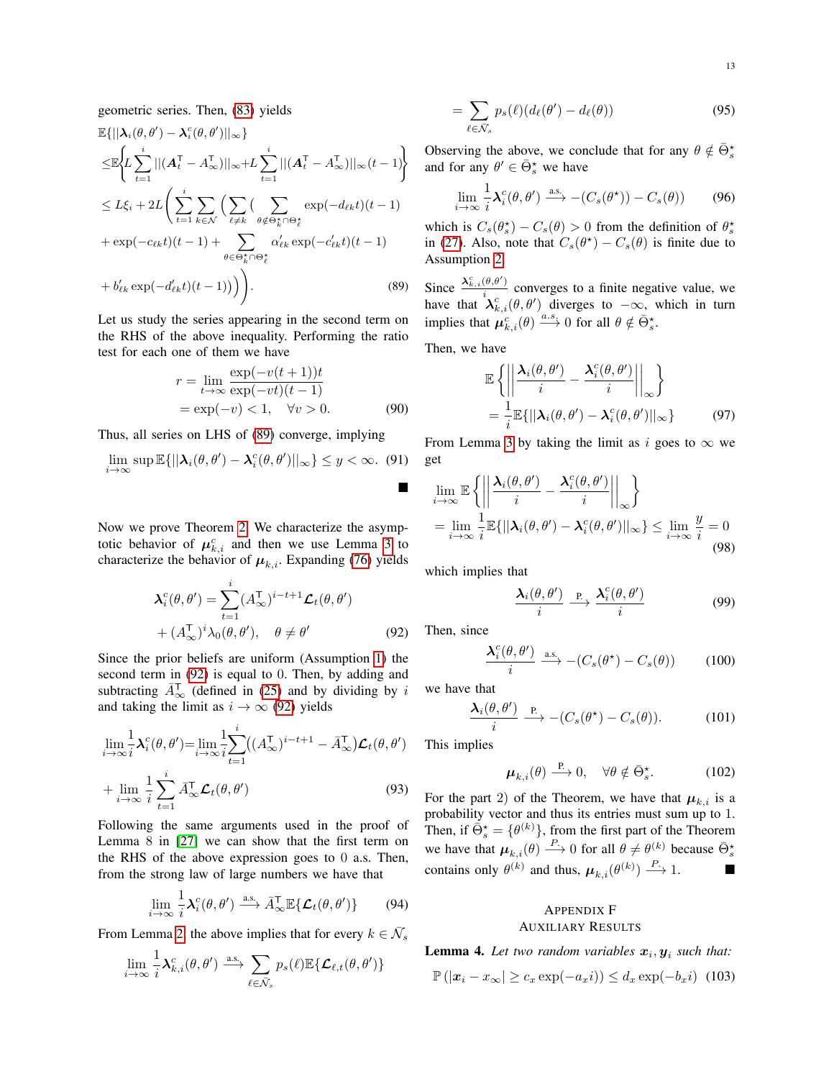geometric series. Then, [\(83\)](#page-11-3) yields

$$
\mathbb{E}\{||\boldsymbol{\lambda}_{i}(\theta,\theta') - \boldsymbol{\lambda}_{i}^{c}(\theta,\theta')||_{\infty}\}\n\leq\mathbb{E}\left\{L\sum_{t=1}^{i}||(A_{t}^{T} - A_{\infty}^{T})||_{\infty}+L\sum_{t=1}^{i}||(A_{t}^{T} - A_{\infty}^{T})||_{\infty}(t-1)\right\}\n\leq L\xi_{i} + 2L\left(\sum_{t=1}^{i}\sum_{k\in\mathcal{N}}\left(\sum_{\ell\neq k}\sum_{\theta\notin\Theta_{k}^{+}\cap\Theta_{\ell}^{*}}\exp(-d_{\ell k}t)(t-1) + \exp(-c_{\ell k}t)(t-1) + \sum_{\theta\in\Theta_{k}^{+}\cap\Theta_{\ell}^{*}}\alpha_{\ell k}'\exp(-c_{\ell k}'t)(t-1)\n+ b_{\ell k}'\exp(-d_{\ell k}'t)(t-1))\right)\right).
$$
\n(89)

Let us study the series appearing in the second term on the RHS of the above inequality. Performing the ratio test for each one of them we have

$$
r = \lim_{t \to \infty} \frac{\exp(-v(t+1))t}{\exp(-vt)(t-1)}
$$
  
=  $\exp(-v) < 1, \quad \forall v > 0.$  (90)

Thus, all series on LHS of [\(89\)](#page-12-0) converge, implying

$$
\lim_{i \to \infty} \sup \mathbb{E}\{||\boldsymbol{\lambda}_i(\theta, \theta') - \boldsymbol{\lambda}_i^c(\theta, \theta')||_{\infty}\} \le y < \infty. \tag{91}
$$

Now we prove Theorem [2.](#page-4-3) We characterize the asymptotic behavior of  $\mu_{k,i}^c$  and then we use Lemma [3](#page-10-5) to characterize the behavior of  $\mu_{k,i}$ . Expanding [\(76\)](#page-10-4) yields

$$
\mathbf{\lambda}_{i}^{c}(\theta,\theta') = \sum_{t=1}^{i} (A_{\infty}^{\mathsf{T}})^{i-t+1} \mathcal{L}_{t}(\theta,\theta')
$$
  
+  $(A_{\infty}^{\mathsf{T}})^{i} \lambda_{0}(\theta,\theta'), \quad \theta \neq \theta'$  (92)

Since the prior beliefs are uniform (Assumption [1\)](#page-3-3) the second term in [\(92\)](#page-12-1) is equal to 0. Then, by adding and subtracting  $\bar{A}_{\infty}^T$  (defined in [\(25\)](#page-4-7) and by dividing by i and taking the limit as  $i \rightarrow \infty$  [\(92\)](#page-12-1) yields

$$
\lim_{i \to \infty} \frac{1}{i} \lambda_i^c(\theta, \theta') = \lim_{i \to \infty} \frac{1}{i} \sum_{t=1}^i ((A_{\infty}^{\mathsf{T}})^{i-t+1} - \bar{A}_{\infty}^{\mathsf{T}}) \mathcal{L}_t(\theta, \theta')
$$
  
+ 
$$
\lim_{i \to \infty} \frac{1}{i} \sum_{t=1}^i \bar{A}_{\infty}^{\mathsf{T}} \mathcal{L}_t(\theta, \theta')
$$
(93)

Following the same arguments used in the proof of Lemma 8 in [\[27\]](#page-16-11) we can show that the first term on the RHS of the above expression goes to 0 a.s. Then, from the strong law of large numbers we have that

$$
\lim_{i \to \infty} \frac{1}{i} \lambda_i^c(\theta, \theta') \xrightarrow{\text{a.s.}} \bar{A}_{\infty}^{\mathsf{T}} \mathbb{E} \{ \mathcal{L}_t(\theta, \theta') \} \tag{94}
$$

From Lemma [2,](#page-4-5) the above implies that for every  $k \in \overline{\mathcal{N}}_s$ 

$$
\lim_{i \to \infty} \frac{1}{i} \lambda_{k,i}^c(\theta, \theta') \stackrel{\text{a.s.}}{\longrightarrow} \sum_{\ell \in \bar{\mathcal{N}}_s} p_s(\ell) \mathbb{E} \{ \mathcal{L}_{\ell,t}(\theta, \theta') \}
$$

$$
= \sum_{\ell \in \bar{\mathcal{N}}_s} p_s(\ell) (d_\ell(\theta') - d_\ell(\theta)) \tag{95}
$$

Observing the above, we conclude that for any  $\theta \notin \overline{\Theta}_s^*$ and for any  $\theta' \in \bar{\Theta}_s^*$  we have

$$
\lim_{i \to \infty} \frac{1}{i} \mathcal{X}_i^c(\theta, \theta') \xrightarrow{\text{a.s.}} -(C_s(\theta^{\star})) - C_s(\theta)) \tag{96}
$$

which is  $C_s(\theta_s^*) - C_s(\theta) > 0$  from the definition of  $\theta_s^*$ in [\(27\)](#page-4-8). Also, note that  $C_s(\theta^*) - C_s(\theta)$  is finite due to Assumption [2.](#page-3-4)

<span id="page-12-0"></span>Since  $\frac{\lambda_{k,i}^c(\theta,\theta')}{i}$  $\frac{\partial(u,v)}{\partial u}$  converges to a finite negative value, we have that  $\mathcal{X}_{k,i}^c(\theta, \theta')$  diverges to  $-\infty$ , which in turn implies that  $\mu_{k,i}^c(\theta) \xrightarrow{a.s.} 0$  for all  $\theta \notin \bar{\Theta}_s^*$ .

Then, we have

$$
\mathbb{E}\left\{ \left| \left| \frac{\lambda_i(\theta, \theta')}{i} - \frac{\lambda_i^c(\theta, \theta')}{i} \right| \right|_{\infty} \right\}
$$
  
= 
$$
\frac{1}{i} \mathbb{E}\{ \left| \left| \lambda_i(\theta, \theta') - \lambda_i^c(\theta, \theta') \right| \right|_{\infty} \}
$$
(97)

From Lemma [3](#page-10-5) by taking the limit as i goes to  $\infty$  we get

$$
\lim_{i \to \infty} \mathbb{E} \left\{ \left| \left| \frac{\lambda_i(\theta, \theta')}{i} - \frac{\lambda_i^c(\theta, \theta')}{i} \right| \right|_{\infty} \right\}
$$
\n
$$
= \lim_{i \to \infty} \frac{1}{i} \mathbb{E} \{ ||\lambda_i(\theta, \theta') - \lambda_i^c(\theta, \theta') ||_{\infty} \} \le \lim_{i \to \infty} \frac{y}{i} = 0
$$
\n(98)

which implies that

$$
\frac{\lambda_i(\theta, \theta')}{i} \xrightarrow{\text{P.}} \frac{\lambda_i^c(\theta, \theta')}{i} \tag{99}
$$

<span id="page-12-1"></span>Then, since

$$
\frac{\mathbf{\lambda}_i^c(\theta,\theta')}{i} \xrightarrow{\text{a.s.}} -(C_s(\theta^*) - C_s(\theta)) \tag{100}
$$

we have that

$$
\frac{\mathbf{\lambda}_i(\theta,\theta')}{i} \xrightarrow{\mathbf{P}} -(C_s(\theta^*) - C_s(\theta)). \tag{101}
$$

This implies

$$
\boldsymbol{\mu}_{k,i}(\theta) \stackrel{\text{P}}{\longrightarrow} 0, \quad \forall \theta \notin \bar{\Theta}_s^{\star}.\tag{102}
$$

For the part 2) of the Theorem, we have that  $\mu_{k,i}$  is a probability vector and thus its entries must sum up to 1. Then, if  $\bar{\Theta}_{s}^{\star} = {\theta^{(k)}}$ , from the first part of the Theorem we have that  $\mu_{k,i}(\theta) \stackrel{P}{\longrightarrow} 0$  for all  $\theta \neq \theta^{(k)}$  because  $\bar{\Theta}_{s}^{*}$ contains only  $\theta^{(k)}$  and thus,  $\mu_{k,i}(\theta^{(k)}) \stackrel{P}{\longrightarrow} 1.$ 

# <span id="page-12-4"></span><span id="page-12-2"></span>APPENDIX F AUXILIARY RESULTS

<span id="page-12-3"></span>**Lemma 4.** Let two random variables  $x_i, y_i$  such that:

$$
\mathbb{P}(|x_i - x_{\infty}| \ge c_x \exp(-a_x i)) \le d_x \exp(-b_x i) \tag{103}
$$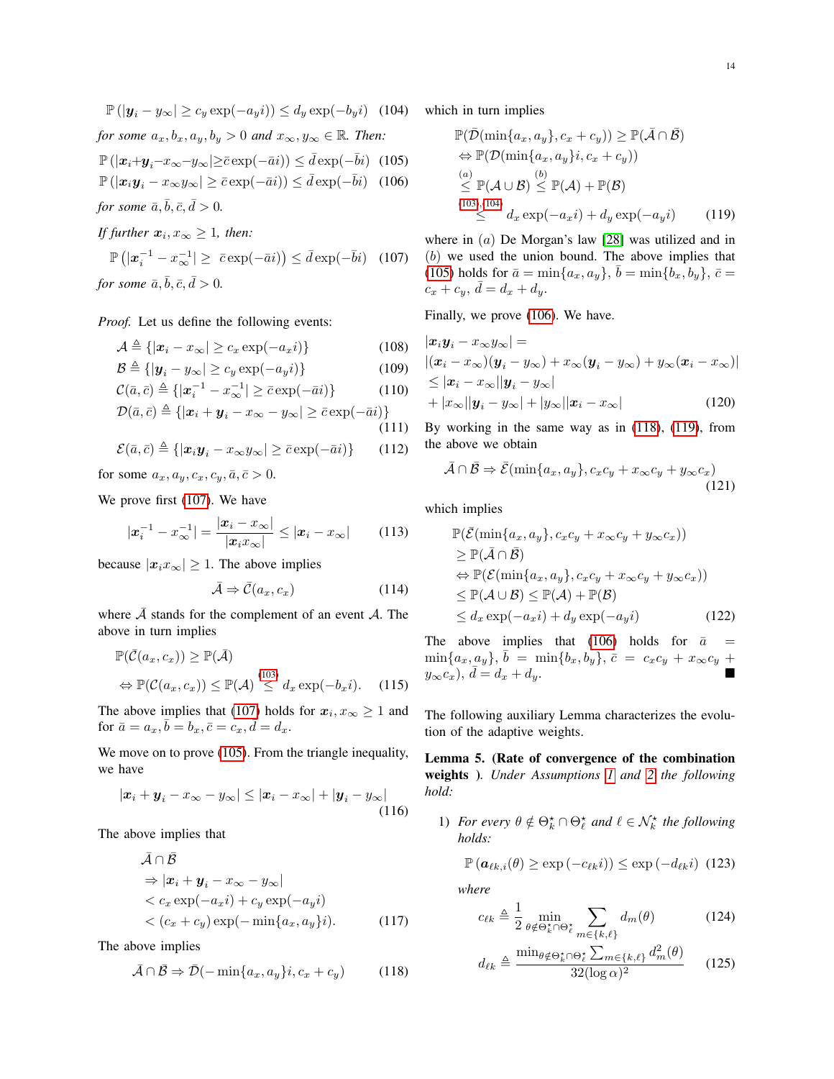$$
\mathbb{P}(|y_i - y_{\infty}| \ge c_y \exp(-a_y i)) \le d_y \exp(-b_y i)
$$
 (104)  
for some  $a_x, b_x, a_y, b_y > 0$  and  $x_{\infty}, y_{\infty} \in \mathbb{R}$ . Then:

$$
\mathbb{P}(|x_i + y_i - x_\infty - y_\infty| > \bar{c} \exp(-\bar{a}i)) < \bar{d} \exp(-\bar{b}i) \tag{105}
$$

$$
\mathbb{P}\left(|x_i y_i - x_\infty y_\infty| \ge \bar{c} \exp(-\bar{a}i)\right) \le \bar{d} \exp(-\bar{b}i) \quad (106)
$$

*for some*  $\bar{a}, \bar{b}, \bar{c}, \bar{d} > 0$ *.* 

*If further*  $x_i, x_\infty \geq 1$ , then:

$$
\mathbb{P}\left(|x_i^{-1} - x_\infty^{-1}| \ge \bar{c} \exp(-\bar{a}i)\right) \le \bar{d} \exp(-\bar{b}i) \quad (107)
$$
\nfor some  $\bar{a}, \bar{b}, \bar{c}, \bar{d} > 0$ .

*Proof.* Let us define the following events:

$$
\mathcal{A} \triangleq \{ |x_i - x_{\infty}| \ge c_x \exp(-a_x i) \}
$$
\n(108)

$$
\mathcal{B} \triangleq \{ |\mathbf{y}_i - y_{\infty}| \ge c_y \exp(-a_y i) \}
$$
 (109)

$$
\mathcal{C}(\bar{a}, \bar{c}) \triangleq \{ |\pmb{x}_i^{-1} - \pmb{x}_\infty^{-1}| \geq \bar{c} \exp(-\bar{a}i) \} \tag{110}
$$

$$
\mathcal{D}(\bar{a}, \bar{c}) \triangleq \{|\bm{x}_i + \bm{y}_i - x_\infty - y_\infty| \geq \bar{c} \exp(-\bar{a}i)\}
$$

$$
(111)
$$

$$
\mathcal{E}(\bar{a}, \bar{c}) \triangleq \{ |\boldsymbol{x}_i \boldsymbol{y}_i - \boldsymbol{x}_\infty \boldsymbol{y}_\infty| \geq \bar{c} \exp(-\bar{a}i) \} \qquad (112)
$$

for some  $a_x, a_y, c_x, c_y, \bar{a}, \bar{c} > 0$ .

We prove first [\(107\)](#page-13-1). We have

$$
|\boldsymbol{x}_i^{-1} - \boldsymbol{x}_{\infty}^{-1}| = \frac{|\boldsymbol{x}_i - \boldsymbol{x}_{\infty}|}{|\boldsymbol{x}_i \boldsymbol{x}_{\infty}|} \le |\boldsymbol{x}_i - \boldsymbol{x}_{\infty}| \qquad (113)
$$

because  $|x_i x_\infty| \geq 1$ . The above implies

$$
\bar{\mathcal{A}} \Rightarrow \bar{\mathcal{C}}(a_x, c_x) \tag{114}
$$

where  $\overline{A}$  stands for the complement of an event  $A$ . The above in turn implies

$$
\mathbb{P}(\bar{C}(a_x, c_x)) \geq \mathbb{P}(\bar{\mathcal{A}})
$$
  
\n
$$
\Leftrightarrow \mathbb{P}(\mathcal{C}(a_x, c_x)) \leq \mathbb{P}(\mathcal{A}) \stackrel{(103)}{\leq} d_x \exp(-b_x i). \quad (115)
$$

The above implies that [\(107\)](#page-13-1) holds for  $x_i, x_\infty \ge 1$  and for  $\bar{a} = a_x, \bar{b} = b_x, \bar{c} = c_x, \bar{d} = d_x$ .

We move on to prove [\(105\)](#page-13-2). From the triangle inequality, we have

$$
|\boldsymbol{x}_i + \boldsymbol{y}_i - \boldsymbol{x}_{\infty} - \boldsymbol{y}_{\infty}| \leq |\boldsymbol{x}_i - \boldsymbol{x}_{\infty}| + |\boldsymbol{y}_i - \boldsymbol{y}_{\infty}| \tag{116}
$$

The above implies that

$$
\bar{\mathcal{A}} \cap \bar{\mathcal{B}}\n\Rightarrow |\mathbf{x}_i + \mathbf{y}_i - x_{\infty} - y_{\infty}|\n< c_x \exp(-a_x i) + c_y \exp(-a_y i)\n< (c_x + c_y) \exp(-\min\{a_x, a_y\}i).
$$
\n(117)

The above implies

$$
\bar{\mathcal{A}} \cap \bar{\mathcal{B}} \Rightarrow \bar{\mathcal{D}}(-\min\{a_x, a_y\}; c_x + c_y) \tag{118}
$$

<span id="page-13-4"></span><span id="page-13-3"></span><span id="page-13-2"></span>which in turn implies

<span id="page-13-6"></span>
$$
\mathbb{P}(\bar{\mathcal{D}}(\min\{a_x, a_y\}, c_x + c_y)) \ge \mathbb{P}(\bar{\mathcal{A}} \cap \bar{\mathcal{B}})
$$
  
\n
$$
\Leftrightarrow \mathbb{P}(\mathcal{D}(\min\{a_x, a_y\}; c_x + c_y))
$$
  
\n
$$
\stackrel{(a)}{\le} \mathbb{P}(\mathcal{A} \cup \mathcal{B}) \stackrel{(b)}{\le} \mathbb{P}(\mathcal{A}) + \mathbb{P}(\mathcal{B})
$$
  
\n
$$
\stackrel{(103),(104)}{\le} d_x \exp(-a_x i) + d_y \exp(-a_y i) \qquad (119)
$$

<span id="page-13-1"></span>where in (a) De Morgan's law [\[28\]](#page-16-12) was utilized and in (b) we used the union bound. The above implies that [\(105\)](#page-13-2) holds for  $\bar{a} = \min\{a_x, a_y\}, \bar{b} = \min\{b_x, b_y\}, \bar{c} =$  $c_x + c_y, \, \bar{d} = d_x + d_y.$ 

Finally, we prove [\(106\)](#page-13-4). We have.

$$
|\boldsymbol{x}_i \boldsymbol{y}_i - x_{\infty} y_{\infty}| =
$$
  
\n
$$
|(\boldsymbol{x}_i - x_{\infty})(\boldsymbol{y}_i - y_{\infty}) + x_{\infty}(\boldsymbol{y}_i - y_{\infty}) + y_{\infty}(\boldsymbol{x}_i - x_{\infty})|
$$
  
\n
$$
\leq |\boldsymbol{x}_i - x_{\infty}| |\boldsymbol{y}_i - y_{\infty}|
$$
  
\n
$$
+ |x_{\infty}| |\boldsymbol{y}_i - y_{\infty}| + |y_{\infty}| |\boldsymbol{x}_i - x_{\infty}|
$$
\n(120)

By working in the same way as in [\(118\)](#page-13-5), [\(119\)](#page-13-6), from the above we obtain

$$
\bar{\mathcal{A}} \cap \bar{\mathcal{B}} \Rightarrow \bar{\mathcal{E}}(\min\{a_x, a_y\}, c_x c_y + x_\infty c_y + y_\infty c_x)
$$
\n(121)

which implies

$$
\mathbb{P}(\bar{\mathcal{E}}(\min\{a_x, a_y\}, c_x c_y + x_\infty c_y + y_\infty c_x))
$$
\n
$$
\geq \mathbb{P}(\bar{\mathcal{A}} \cap \bar{\mathcal{B}})
$$
\n
$$
\Leftrightarrow \mathbb{P}(\mathcal{E}(\min\{a_x, a_y\}, c_x c_y + x_\infty c_y + y_\infty c_x))
$$
\n
$$
\leq \mathbb{P}(\mathcal{A} \cup \mathcal{B}) \leq \mathbb{P}(\mathcal{A}) + \mathbb{P}(\mathcal{B})
$$
\n
$$
\leq d_x \exp(-a_x i) + d_y \exp(-a_y i) \tag{122}
$$

The above implies that [\(106\)](#page-13-4) holds for  $\bar{a}$  =  $\min\{a_x, a_y\}, \bar{b} = \min\{b_x, b_y\}, \bar{c} = c_xc_y + x_\infty c_y + c_y$  $y_{\infty}c_x$ ),  $\bar{d} = d_x + d_y$ .

The following auxiliary Lemma characterizes the evolution of the adaptive weights.

<span id="page-13-0"></span>Lemma 5. (Rate of convergence of the combination weights )*. Under Assumptions [1](#page-3-3) and [2](#page-3-4) the following hold:*

1) *For every*  $\theta \notin \Theta_k^* \cap \Theta_\ell^*$  *and*  $\ell \in \mathcal{N}_k^*$  *the following holds:*

$$
\mathbb{P}\left(\boldsymbol{a}_{\ell k,i}(\theta) \geq \exp\left(-c_{\ell k}i\right)\right) \leq \exp\left(-d_{\ell k}i\right) (123)
$$

*where*

$$
c_{\ell k} \triangleq \frac{1}{2} \min_{\theta \notin \Theta_k^* \cap \Theta_\ell^*} \sum_{m \in \{k,\ell\}} d_m(\theta) \tag{124}
$$

<span id="page-13-5"></span>
$$
d_{\ell k} \triangleq \frac{\min_{\theta \notin \Theta_k^* \cap \Theta_\ell^*} \sum_{m \in \{k,\ell\}} d_m^2(\theta)}{32(\log \alpha)^2} \qquad (125)
$$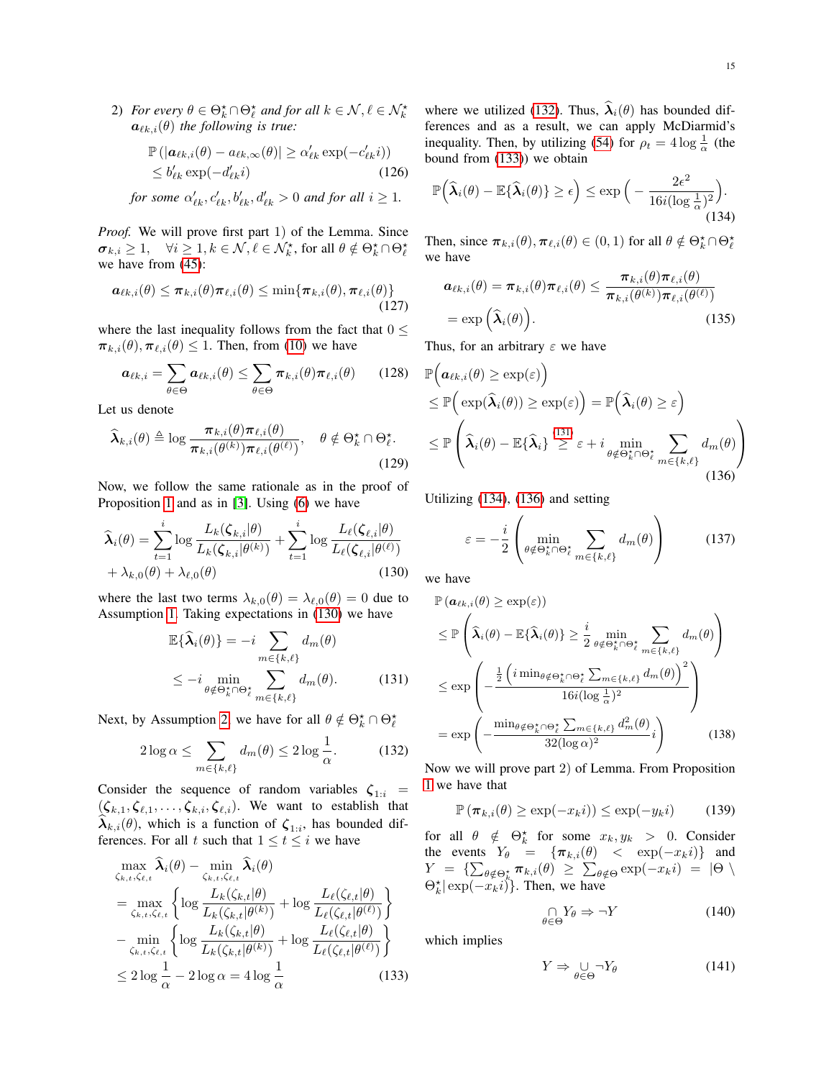2) *For every*  $\theta \in \Theta_k^{\star} \cap \Theta_{\ell}^{\star}$  *and for all*  $k \in \mathcal{N}, \ell \in \mathcal{N}_k^{\star}$  $a_{\ell k,i}(\theta)$  *the following is true:* 

$$
\mathbb{P}(|\boldsymbol{a}_{\ell k,i}(\theta) - a_{\ell k,\infty}(\theta)| \ge \alpha'_{\ell k} \exp(-c'_{\ell k}i))
$$
  
\$\le b'\_{\ell k} \exp(-d'\_{\ell k}i)\$ (126)

*for some*  $\alpha'_{\ell k}, c'_{\ell k}, b'_{\ell k}, d'_{\ell k} > 0$  *and for all*  $i \geq 1$ *.* 

*Proof.* We will prove first part 1) of the Lemma. Since  $\sigma_{k,i} \geq 1$ ,  $\forall i \geq 1, k \in \mathcal{N}, \ell \in \mathcal{N}_k^{\star}$ , for all  $\theta \notin \Theta_k^{\star} \cap \Theta_{\ell}^{\star}$ we have from [\(45\)](#page-8-4):

$$
\boldsymbol{a}_{\ell k,i}(\theta) \leq \boldsymbol{\pi}_{k,i}(\theta) \boldsymbol{\pi}_{\ell,i}(\theta) \leq \min\{\boldsymbol{\pi}_{k,i}(\theta), \boldsymbol{\pi}_{\ell,i}(\theta)\}\tag{127}
$$

where the last inequality follows from the fact that  $0 \leq$  $\pi_{k,i}(\theta), \pi_{\ell,i}(\theta) \leq 1$ . Then, from [\(10\)](#page-3-0) we have

$$
\boldsymbol{a}_{\ell k,i} = \sum_{\theta \in \Theta} \boldsymbol{a}_{\ell k,i}(\theta) \leq \sum_{\theta \in \Theta} \boldsymbol{\pi}_{k,i}(\theta) \boldsymbol{\pi}_{\ell,i}(\theta) \qquad (128)
$$

Let us denote

$$
\widehat{\boldsymbol{\lambda}}_{k,i}(\theta) \triangleq \log \frac{\boldsymbol{\pi}_{k,i}(\theta)\boldsymbol{\pi}_{\ell,i}(\theta)}{\boldsymbol{\pi}_{k,i}(\theta^{(k)})\boldsymbol{\pi}_{\ell,i}(\theta^{(\ell)})}, \quad \theta \notin \Theta_k^{\star} \cap \Theta_{\ell}^{\star}.
$$
\n(129)

Now, we follow the same rationale as in the proof of Proposition [1](#page-3-8) and as in [\[3\]](#page-15-2). Using [\(6\)](#page-2-1) we have

$$
\widehat{\lambda}_{i}(\theta) = \sum_{t=1}^{i} \log \frac{L_{k}(\zeta_{k,i}|\theta)}{L_{k}(\zeta_{k,i}|\theta^{(k)})} + \sum_{t=1}^{i} \log \frac{L_{\ell}(\zeta_{\ell,i}|\theta)}{L_{\ell}(\zeta_{\ell,i}|\theta^{(\ell)})} + \lambda_{k,0}(\theta) + \lambda_{\ell,0}(\theta)
$$
\n(130)

where the last two terms  $\lambda_{k,0}(\theta) = \lambda_{\ell,0}(\theta) = 0$  due to Assumption [1.](#page-3-3) Taking expectations in [\(130\)](#page-14-0) we have

$$
\mathbb{E}\{\widehat{\lambda}_{i}(\theta)\} = -i \sum_{m \in \{k,\ell\}} d_{m}(\theta)
$$
  
\n
$$
\leq -i \min_{\theta \notin \Theta_{k}^{*} \cap \Theta_{\ell}^{*}} \sum_{m \in \{k,\ell\}} d_{m}(\theta).
$$
 (131)

Next, by Assumption [2,](#page-3-4) we have for all  $\theta \notin \Theta_k^* \cap \Theta_\ell^*$ 

$$
2\log\alpha \le \sum_{m\in\{k,\ell\}} d_m(\theta) \le 2\log\frac{1}{\alpha}.\tag{132}
$$

Consider the sequence of random variables  $\zeta_{1:i}$  =  $(\zeta_{k,1}, \zeta_{\ell,1}, \ldots, \zeta_{k,i}, \zeta_{\ell,i})$ . We want to establish that  $\lambda_{k,i}(\theta)$ , which is a function of  $\zeta_{1,i}$ , has bounded differences. For all t such that  $1 \le t \le i$  we have

$$
\max_{\zeta_{k,t},\zeta_{\ell,t}} \widehat{\lambda}_i(\theta) - \min_{\zeta_{k,t},\zeta_{\ell,t}} \widehat{\lambda}_i(\theta)
$$
\n
$$
= \max_{\zeta_{k,t},\zeta_{\ell,t}} \left\{ \log \frac{L_k(\zeta_{k,t}|\theta)}{L_k(\zeta_{k,t}|\theta^{(k)})} + \log \frac{L_\ell(\zeta_{\ell,t}|\theta)}{L_\ell(\zeta_{\ell,t}|\theta^{(\ell)})} \right\}
$$
\n
$$
- \min_{\zeta_{k,t},\zeta_{\ell,t}} \left\{ \log \frac{L_k(\zeta_{k,t}|\theta)}{L_k(\zeta_{k,t}|\theta^{(k)})} + \log \frac{L_\ell(\zeta_{\ell,t}|\theta)}{L_\ell(\zeta_{\ell,t}|\theta^{(\ell)})} \right\}
$$
\n
$$
\leq 2 \log \frac{1}{\alpha} - 2 \log \alpha = 4 \log \frac{1}{\alpha} \tag{133}
$$

where we utilized [\(132\)](#page-14-1). Thus,  $\hat{\lambda}_i(\theta)$  has bounded differences and as a result, we can apply McDiarmid's inequality. Then, by utilizing [\(54\)](#page-9-3) for  $\rho_t = 4 \log \frac{1}{\alpha}$  (the bound from [\(133\)](#page-14-2)) we obtain

$$
\mathbb{P}\left(\widehat{\boldsymbol{\lambda}}_i(\theta) - \mathbb{E}\{\widehat{\boldsymbol{\lambda}}_i(\theta)\} \geq \epsilon\right) \leq \exp\Big(-\frac{2\epsilon^2}{16i(\log\frac{1}{\alpha})^2}\Big).
$$
\n(134)

Then, since  $\pi_{k,i}(\theta), \pi_{\ell,i}(\theta) \in (0, 1)$  for all  $\theta \notin \Theta_k^* \cap \Theta_\ell^*$ we have

<span id="page-14-4"></span>
$$
\boldsymbol{a}_{\ell k,i}(\theta) = \boldsymbol{\pi}_{k,i}(\theta) \boldsymbol{\pi}_{\ell,i}(\theta) \leq \frac{\boldsymbol{\pi}_{k,i}(\theta) \boldsymbol{\pi}_{\ell,i}(\theta)}{\boldsymbol{\pi}_{k,i}(\theta^{(k)}) \boldsymbol{\pi}_{\ell,i}(\theta^{(\ell)})}
$$

$$
= \exp\left(\widehat{\boldsymbol{\lambda}}_i(\theta)\right).
$$
(135)

Thus, for an arbitrary  $\varepsilon$  we have

$$
\mathbb{P}\Big(\mathbf{a}_{\ell k,i}(\theta) \geq \exp(\varepsilon)\Big) \n\leq \mathbb{P}\Big(\exp(\widehat{\boldsymbol{\lambda}}_i(\theta)) \geq \exp(\varepsilon)\Big) = \mathbb{P}\Big(\widehat{\boldsymbol{\lambda}}_i(\theta) \geq \varepsilon\Big) \n\leq \mathbb{P}\Big(\widehat{\boldsymbol{\lambda}}_i(\theta) - \mathbb{E}\{\widehat{\boldsymbol{\lambda}}_i\} \stackrel{(131)}{\geq} \varepsilon + i \min_{\theta \notin \Theta_k^{\star} \cap \Theta_\ell^{\star}} \sum_{m \in \{k,\ell\}} d_m(\theta)\Big) \n(136)
$$

Utilizing [\(134\)](#page-14-4), [\(136\)](#page-14-5) and setting

<span id="page-14-5"></span>
$$
\varepsilon = -\frac{i}{2} \left( \min_{\theta \notin \Theta_k^* \cap \Theta_\ell^*} \sum_{m \in \{k,\ell\}} d_m(\theta) \right) \tag{137}
$$

<span id="page-14-0"></span>we have

<span id="page-14-3"></span>
$$
\mathbb{P}\left(\mathbf{a}_{\ell k,i}(\theta) \ge \exp(\varepsilon)\right)
$$
\n
$$
\le \mathbb{P}\left(\widehat{\lambda}_{i}(\theta) - \mathbb{E}\{\widehat{\lambda}_{i}(\theta)\} \ge \frac{i}{2} \min_{\theta \notin \Theta_{k}^{*} \cap \Theta_{\ell}^{*}} \sum_{m \in \{k,\ell\}} d_{m}(\theta)\right)
$$
\n
$$
\le \exp\left(-\frac{\frac{1}{2}\left(i \min_{\theta \notin \Theta_{k}^{*} \cap \Theta_{\ell}^{*}} \sum_{m \in \{k,\ell\}} d_{m}(\theta)\right)^{2}}{16i(\log \frac{1}{\alpha})^{2}}\right)
$$
\n
$$
= \exp\left(-\frac{\min_{\theta \notin \Theta_{k}^{*} \cap \Theta_{\ell}^{*}} \sum_{m \in \{k,\ell\}} d_{m}^{2}(\theta)}{32(\log \alpha)^{2}}i\right) \tag{138}
$$

<span id="page-14-1"></span>Now we will prove part 2) of Lemma. From Proposition [1](#page-3-8) we have that

$$
\mathbb{P}(\pi_{k,i}(\theta) \ge \exp(-x_k i)) \le \exp(-y_k i)
$$
 (139)

for all  $\theta \notin \Theta_k^*$  for some  $x_k, y_k > 0$ . Consider the events  $Y_{\theta} = {\pi_{k,i}(\theta)} < \exp(-x_k i)$  and  $Y \;=\; \{\sum_{\theta \notin \Theta_k^{\star}} \boldsymbol{\pi}_{k,i}(\theta) \;\geq\; \sum_{\theta \notin \Theta} \exp(-x_k i) \;=\; |\Theta \;\setminus\;$  $\Theta_k^{\star} | \exp(-x_k i) \rangle$ . Then, we have

$$
\underset{\theta \in \Theta}{\cap} Y_{\theta} \Rightarrow \neg Y \tag{140}
$$

<span id="page-14-2"></span>which implies

<span id="page-14-6"></span>
$$
Y \Rightarrow \bigcup_{\theta \in \Theta} \neg Y_{\theta} \tag{141}
$$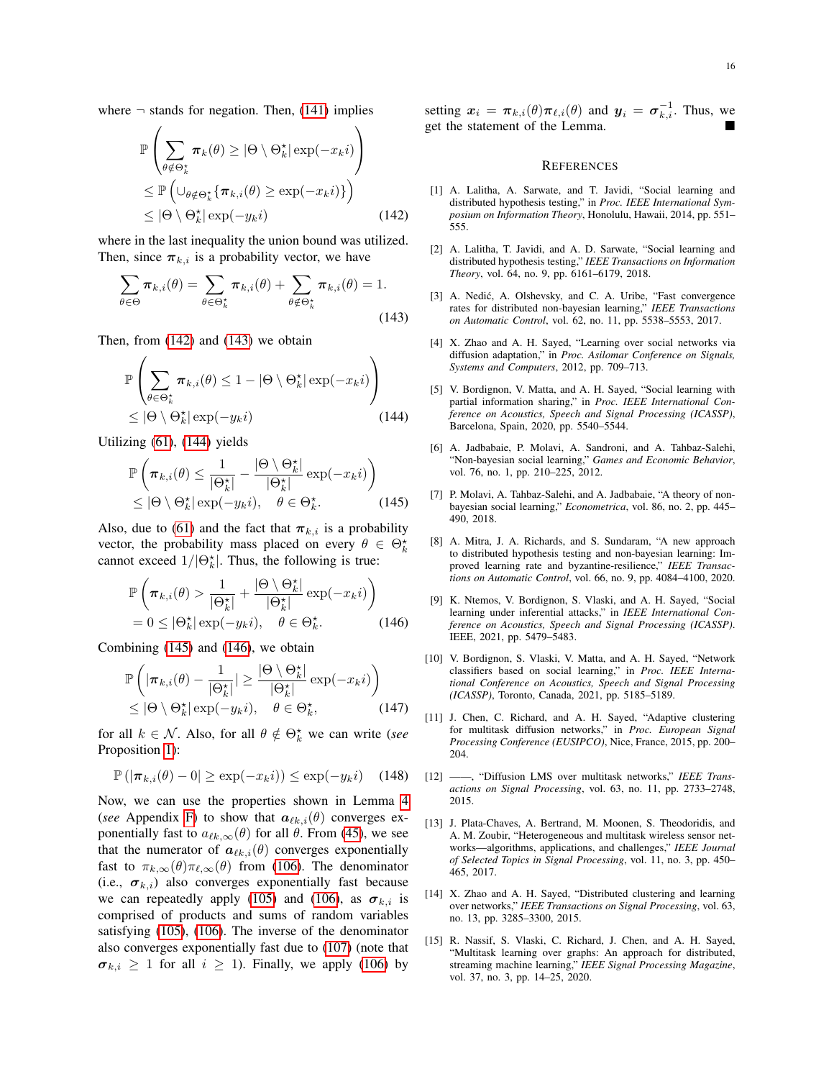where  $\neg$  stands for negation. Then, [\(141\)](#page-14-6) implies

$$
\mathbb{P}\left(\sum_{\theta \notin \Theta_k^{\star}} \pi_k(\theta) \ge |\Theta \setminus \Theta_k^{\star}| \exp(-x_k i)\right)
$$
\n
$$
\le \mathbb{P}\left(\cup_{\theta \notin \Theta_k^{\star}} \{\pi_{k,i}(\theta) \ge \exp(-x_k i)\}\right)
$$
\n
$$
\le |\Theta \setminus \Theta_k^{\star}| \exp(-y_k i)
$$
\n(142)

where in the last inequality the union bound was utilized. Then, since  $\pi_{k,i}$  is a probability vector, we have

$$
\sum_{\theta \in \Theta} \pi_{k,i}(\theta) = \sum_{\theta \in \Theta_k^{\star}} \pi_{k,i}(\theta) + \sum_{\theta \notin \Theta_k^{\star}} \pi_{k,i}(\theta) = 1.
$$
\n(143)

Then, from [\(142\)](#page-15-15) and [\(143\)](#page-15-16) we obtain

$$
\mathbb{P}\left(\sum_{\theta \in \Theta_k^{\star}} \pi_{k,i}(\theta) \le 1 - |\Theta \setminus \Theta_k^{\star}| \exp(-x_k i)\right) \le |\Theta \setminus \Theta_k^{\star}| \exp(-y_k i)
$$
\n(144)

Utilizing [\(61\)](#page-9-8), [\(144\)](#page-15-17) yields

$$
\mathbb{P}\left(\pi_{k,i}(\theta) \le \frac{1}{|\Theta_k^{\star}|} - \frac{|\Theta \setminus \Theta_k^{\star}|}{|\Theta_k^{\star}|} \exp(-x_k i)\right) \le |\Theta \setminus \Theta_k^{\star}| \exp(-y_k i), \quad \theta \in \Theta_k^{\star}.
$$
\n(145)

Also, due to [\(61\)](#page-9-8) and the fact that  $\pi_{k,i}$  is a probability vector, the probability mass placed on every  $\theta \in \Theta_k^*$ cannot exceed  $1/|\Theta_k^*|$ . Thus, the following is true:

$$
\mathbb{P}\left(\pi_{k,i}(\theta) > \frac{1}{|\Theta_k^{\star}|} + \frac{|\Theta \setminus \Theta_k^{\star}|}{|\Theta_k^{\star}|} \exp(-x_k i)\right) \n= 0 \le |\Theta_k^{\star}| \exp(-y_k i), \quad \theta \in \Theta_k^{\star}.
$$
\n(146)

Combining [\(145\)](#page-15-18) and [\(146\)](#page-15-19), we obtain

$$
\mathbb{P}\left(|\pi_{k,i}(\theta) - \frac{1}{|\Theta_k^{\star}|}| \geq \frac{|\Theta \setminus \Theta_k^{\star}|}{|\Theta_k^{\star}|} \exp(-x_k i)\right) \leq |\Theta \setminus \Theta_k^{\star}| \exp(-y_k i), \quad \theta \in \Theta_k^{\star},
$$
\n(147)

for all  $k \in \mathcal{N}$ . Also, for all  $\theta \notin \Theta_k^{\star}$  we can write (*see* Proposition [1\)](#page-3-8):

$$
\mathbb{P}\left(|\boldsymbol{\pi}_{k,i}(\theta)-0|\geq \exp(-x_k i)\right)\leq \exp(-y_k i) \quad (148)
$$

Now, we can use the properties shown in Lemma [4](#page-12-3) (*see* Appendix [F\)](#page-12-4) to show that  $a_{\ell k,i}(\theta)$  converges exponentially fast to  $a_{\ell k, \infty}(\theta)$  for all  $\theta$ . From [\(45\)](#page-8-4), we see that the numerator of  $a_{\ell k,i}(\theta)$  converges exponentially fast to  $\pi_{k,\infty}(\theta)\pi_{\ell,\infty}(\theta)$  from [\(106\)](#page-13-4). The denominator (i.e.,  $\sigma_{k,i}$ ) also converges exponentially fast because we can repeatedly apply [\(105\)](#page-13-2) and [\(106\)](#page-13-4), as  $\sigma_{k,i}$  is comprised of products and sums of random variables satisfying [\(105\)](#page-13-2), [\(106\)](#page-13-4). The inverse of the denominator also converges exponentially fast due to [\(107\)](#page-13-1) (note that  $\sigma_{k,i} \geq 1$  for all  $i \geq 1$ ). Finally, we apply [\(106\)](#page-13-4) by setting  $x_i = \pi_{k,i}(\theta)\pi_{\ell,i}(\theta)$  and  $y_i = \sigma_{k,i}^{-1}$ . Thus, we get the statement of the Lemma.

#### **REFERENCES**

- <span id="page-15-15"></span><span id="page-15-0"></span>[1] A. Lalitha, A. Sarwate, and T. Javidi, "Social learning and distributed hypothesis testing," in *Proc. IEEE International Symposium on Information Theory*, Honolulu, Hawaii, 2014, pp. 551– 555.
- <span id="page-15-1"></span>[2] A. Lalitha, T. Javidi, and A. D. Sarwate, "Social learning and distributed hypothesis testing," *IEEE Transactions on Information Theory*, vol. 64, no. 9, pp. 6161–6179, 2018.
- <span id="page-15-16"></span><span id="page-15-2"></span>[3] A. Nedić, A. Olshevsky, and C. A. Uribe, "Fast convergence rates for distributed non-bayesian learning," *IEEE Transactions on Automatic Control*, vol. 62, no. 11, pp. 5538–5553, 2017.
- <span id="page-15-3"></span>[4] X. Zhao and A. H. Sayed, "Learning over social networks via diffusion adaptation," in *Proc. Asilomar Conference on Signals, Systems and Computers*, 2012, pp. 709–713.
- <span id="page-15-17"></span><span id="page-15-4"></span>[5] V. Bordignon, V. Matta, and A. H. Sayed, "Social learning with partial information sharing," in *Proc. IEEE International Conference on Acoustics, Speech and Signal Processing (ICASSP)*, Barcelona, Spain, 2020, pp. 5540–5544.
- <span id="page-15-5"></span>[6] A. Jadbabaie, P. Molavi, A. Sandroni, and A. Tahbaz-Salehi, "Non-bayesian social learning," *Games and Economic Behavior*, vol. 76, no. 1, pp. 210–225, 2012.
- <span id="page-15-18"></span><span id="page-15-6"></span>[7] P. Molavi, A. Tahbaz-Salehi, and A. Jadbabaie, "A theory of nonbayesian social learning," *Econometrica*, vol. 86, no. 2, pp. 445– 490, 2018.
- <span id="page-15-7"></span>[8] A. Mitra, J. A. Richards, and S. Sundaram, "A new approach to distributed hypothesis testing and non-bayesian learning: Improved learning rate and byzantine-resilience," *IEEE Transactions on Automatic Control*, vol. 66, no. 9, pp. 4084–4100, 2020.
- <span id="page-15-19"></span><span id="page-15-8"></span>[9] K. Ntemos, V. Bordignon, S. Vlaski, and A. H. Sayed, "Social learning under inferential attacks," in *IEEE International Conference on Acoustics, Speech and Signal Processing (ICASSP)*. IEEE, 2021, pp. 5479–5483.
- <span id="page-15-9"></span>[10] V. Bordignon, S. Vlaski, V. Matta, and A. H. Sayed, "Network classifiers based on social learning," in *Proc. IEEE International Conference on Acoustics, Speech and Signal Processing (ICASSP)*, Toronto, Canada, 2021, pp. 5185–5189.
- <span id="page-15-10"></span>[11] J. Chen, C. Richard, and A. H. Sayed, "Adaptive clustering for multitask diffusion networks," in *Proc. European Signal Processing Conference (EUSIPCO)*, Nice, France, 2015, pp. 200– 204.
- <span id="page-15-11"></span>[12] ——, "Diffusion LMS over multitask networks," *IEEE Transactions on Signal Processing*, vol. 63, no. 11, pp. 2733–2748, 2015.
- <span id="page-15-12"></span>[13] J. Plata-Chaves, A. Bertrand, M. Moonen, S. Theodoridis, and A. M. Zoubir, "Heterogeneous and multitask wireless sensor networks—algorithms, applications, and challenges," *IEEE Journal of Selected Topics in Signal Processing*, vol. 11, no. 3, pp. 450– 465, 2017.
- <span id="page-15-13"></span>[14] X. Zhao and A. H. Sayed, "Distributed clustering and learning over networks," *IEEE Transactions on Signal Processing*, vol. 63, no. 13, pp. 3285–3300, 2015.
- <span id="page-15-14"></span>[15] R. Nassif, S. Vlaski, C. Richard, J. Chen, and A. H. Sayed, "Multitask learning over graphs: An approach for distributed, streaming machine learning," *IEEE Signal Processing Magazine*, vol. 37, no. 3, pp. 14–25, 2020.